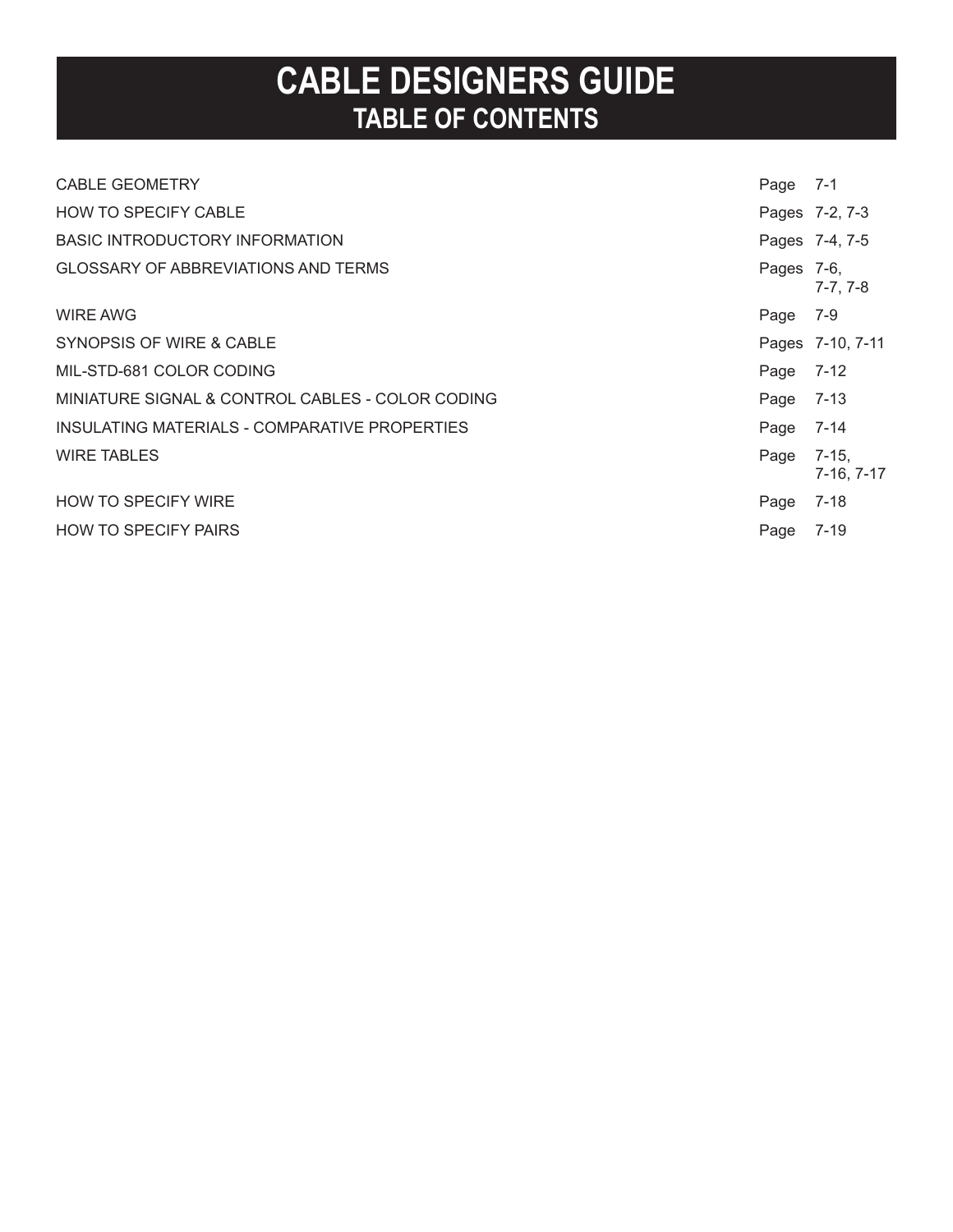## **CABLE DESIGNERS GUIDE TABLE OF CONTENTS**

| <b>CABLE GEOMETRY</b>                            | Page       | 7-1                   |
|--------------------------------------------------|------------|-----------------------|
| <b>HOW TO SPECIFY CABLE</b>                      |            | Pages 7-2, 7-3        |
| BASIC INTRODUCTORY INFORMATION                   |            | Pages 7-4, 7-5        |
| <b>GLOSSARY OF ABBREVIATIONS AND TERMS</b>       | Pages 7-6, | $7-7, 7-8$            |
| WIRE AWG                                         | Page       | 7-9                   |
| SYNOPSIS OF WIRE & CABLE                         |            | Pages 7-10, 7-11      |
| MIL-STD-681 COLOR CODING                         | Page       | 7-12                  |
| MINIATURE SIGNAL & CONTROL CABLES - COLOR CODING | Page       | $7 - 13$              |
| INSULATING MATERIALS - COMPARATIVE PROPERTIES    | Page       | 7-14                  |
| <b>WIRE TABLES</b>                               | Page       | $7-15,$<br>7-16, 7-17 |
| <b>HOW TO SPECIFY WIRE</b>                       | Page       | $7 - 18$              |
| <b>HOW TO SPECIFY PAIRS</b>                      | Page       | 7-19                  |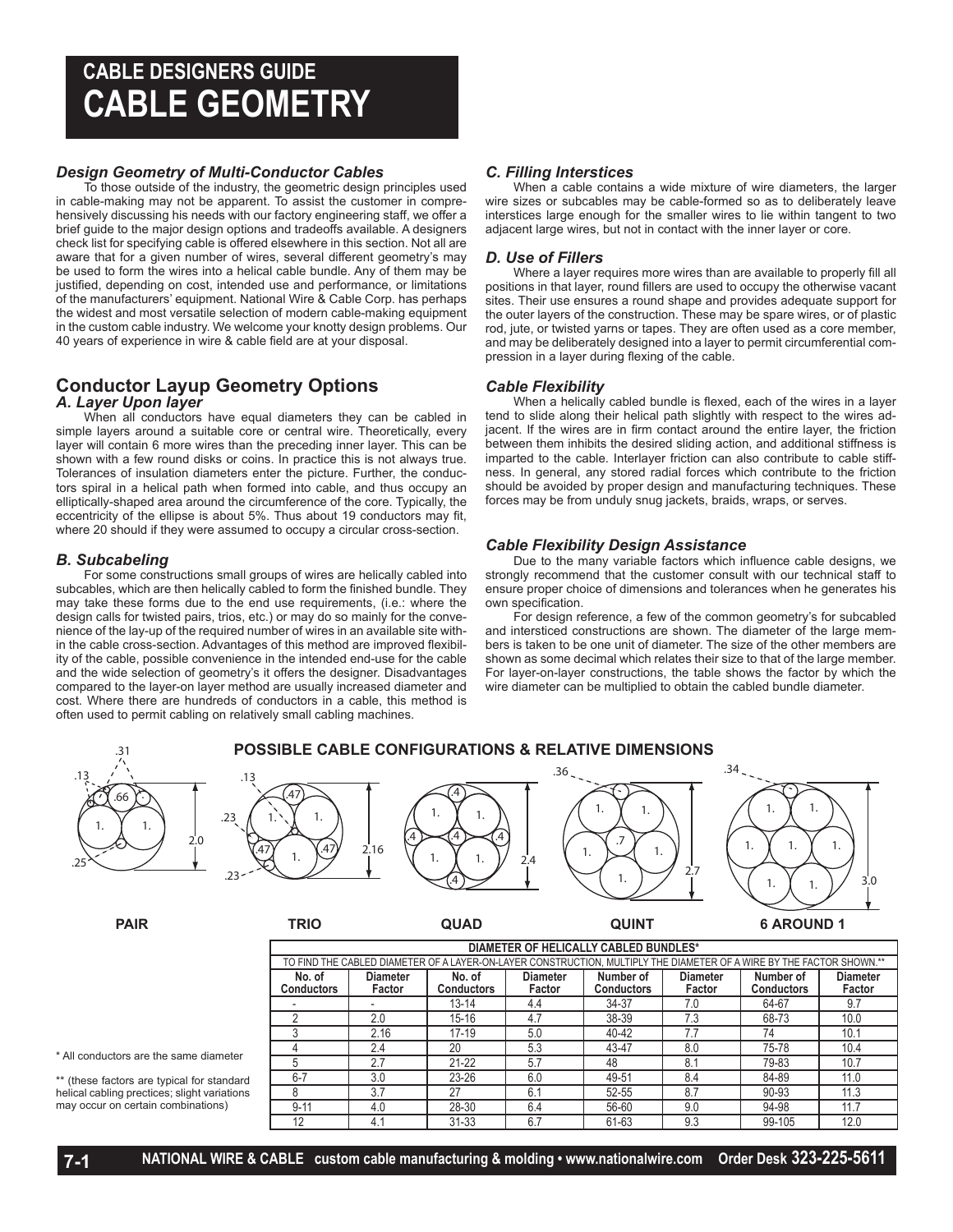## **CABLE DESIGNERS GUIDE CABLE GEOMETRY**

### *Design Geometry of Multi-Conductor Cables*

To those outside of the industry, the geometric design principles used in cable-making may not be apparent. To assist the customer in comprehensively discussing his needs with our factory engineering staff, we offer a brief guide to the major design options and tradeoffs available. A designers check list for specifying cable is offered elsewhere in this section. Not all are aware that for a given number of wires, several different geometry's may be used to form the wires into a helical cable bundle. Any of them may be justified, depending on cost, intended use and performance, or limitations of the manufacturers' equipment. National Wire & Cable Corp. has perhaps the widest and most versatile selection of modern cable-making equipment in the custom cable industry. We welcome your knotty design problems. Our 40 years of experience in wire & cable field are at your disposal.

### **Conductor Layup Geometry Options**

#### *A. Layer Upon layer*

When all conductors have equal diameters they can be cabled in simple layers around a suitable core or central wire. Theoretically, every layer will contain 6 more wires than the preceding inner layer. This can be shown with a few round disks or coins. In practice this is not always true. Tolerances of insulation diameters enter the picture. Further, the conductors spiral in a helical path when formed into cable, and thus occupy an elliptically-shaped area around the circumference of the core. Typically, the eccentricity of the ellipse is about 5%. Thus about 19 conductors may fit, where 20 should if they were assumed to occupy a circular cross-section.

#### *B. Subcabeling*

For some constructions small groups of wires are helically cabled into subcables, which are then helically cabled to form the finished bundle. They may take these forms due to the end use requirements, (i.e.: where the design calls for twisted pairs, trios, etc.) or may do so mainly for the convenience of the lay-up of the required number of wires in an available site within the cable cross-section. Advantages of this method are improved flexibility of the cable, possible convenience in the intended end-use for the cable and the wide selection of geometry's it offers the designer. Disadvantages compared to the layer-on layer method are usually increased diameter and cost. Where there are hundreds of conductors in a cable, this method is often used to permit cabling on relatively small cabling machines.

#### *C. Filling Interstices*

When a cable contains a wide mixture of wire diameters, the larger wire sizes or subcables may be cable-formed so as to deliberately leave interstices large enough for the smaller wires to lie within tangent to two adjacent large wires, but not in contact with the inner layer or core.

#### *D. Use of Fillers*

Where a layer requires more wires than are available to properly fill all positions in that layer, round fillers are used to occupy the otherwise vacant sites. Their use ensures a round shape and provides adequate support for the outer layers of the construction. These may be spare wires, or of plastic rod, jute, or twisted yarns or tapes. They are often used as a core member, and may be deliberately designed into a layer to permit circumferential compression in a layer during flexing of the cable.

#### *Cable Flexibility*

When a helically cabled bundle is flexed, each of the wires in a layer tend to slide along their helical path slightly with respect to the wires adjacent. If the wires are in firm contact around the entire layer, the friction between them inhibits the desired sliding action, and additional stiffness is imparted to the cable. Interlayer friction can also contribute to cable stiffness. In general, any stored radial forces which contribute to the friction should be avoided by proper design and manufacturing techniques. These forces may be from unduly snug jackets, braids, wraps, or serves.

#### *Cable Flexibility Design Assistance*

Due to the many variable factors which influence cable designs, we strongly recommend that the customer consult with our technical staff to ensure proper choice of dimensions and tolerances when he generates his own specification.

For design reference, a few of the common geometry's for subcabled and intersticed constructions are shown. The diameter of the large members is taken to be one unit of diameter. The size of the other members are shown as some decimal which relates their size to that of the large member. For layer-on-layer constructions, the table shows the factor by which the wire diameter can be multiplied to obtain the cabled bundle diameter.



\*\* (these factors are typical for standard helical cabling prectices; slight variations may occur on certain combinations)

8 3.7 27 6.1 52-55 8.7 90-93 11.3 9-11 4.0 28-30 6.4 56-60 9.0 94-98 11.7 12 | 4.1 | 31-33 | 6.7 | 61-63 | 9.3 | 99-105 | 12.0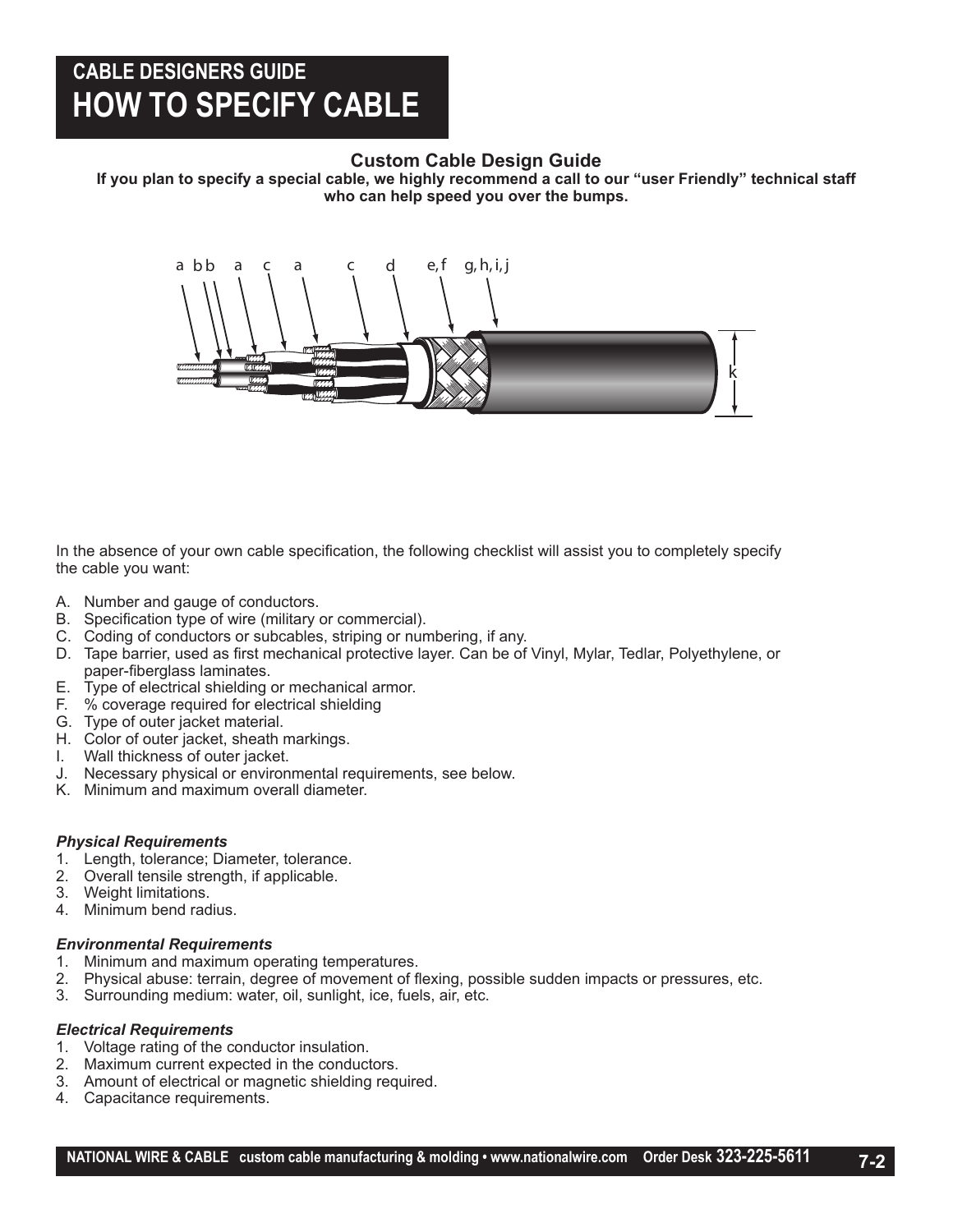## **CABLE DESIGNERS GUIDE HOW TO SPECIFY CABLE**

### **Custom Cable Design Guide**

**If you plan to specify a special cable, we highly recommend a call to our "user Friendly" technical staff who can help speed you over the bumps.**



In the absence of your own cable specification, the following checklist will assist you to completely specify the cable you want:

- A. Number and gauge of conductors.
- B. Specification type of wire (military or commercial).
- C. Coding of conductors or subcables, striping or numbering, if any.
- D. Tape barrier, used as first mechanical protective layer. Can be of Vinyl, Mylar, Tedlar, Polyethylene, or paper-fiberglass laminates.
- E. Type of electrical shielding or mechanical armor.
- F. % coverage required for electrical shielding
- G. Type of outer jacket material.
- H. Color of outer jacket, sheath markings.
- I. Wall thickness of outer jacket.
- J. Necessary physical or environmental requirements, see below.
- K. Minimum and maximum overall diameter.

#### *Physical Requirements*

- 1. Length, tolerance; Diameter, tolerance.
- 2. Overall tensile strength, if applicable.
- 3. Weight limitations.
- 4. Minimum bend radius.

#### *Environmental Requirements*

- 1. Minimum and maximum operating temperatures.
- 2. Physical abuse: terrain, degree of movement of flexing, possible sudden impacts or pressures, etc.
- 3. Surrounding medium: water, oil, sunlight, ice, fuels, air, etc.

#### *Electrical Requirements*

- 1. Voltage rating of the conductor insulation.
- 2. Maximum current expected in the conductors.
- 3. Amount of electrical or magnetic shielding required.
- 4. Capacitance requirements.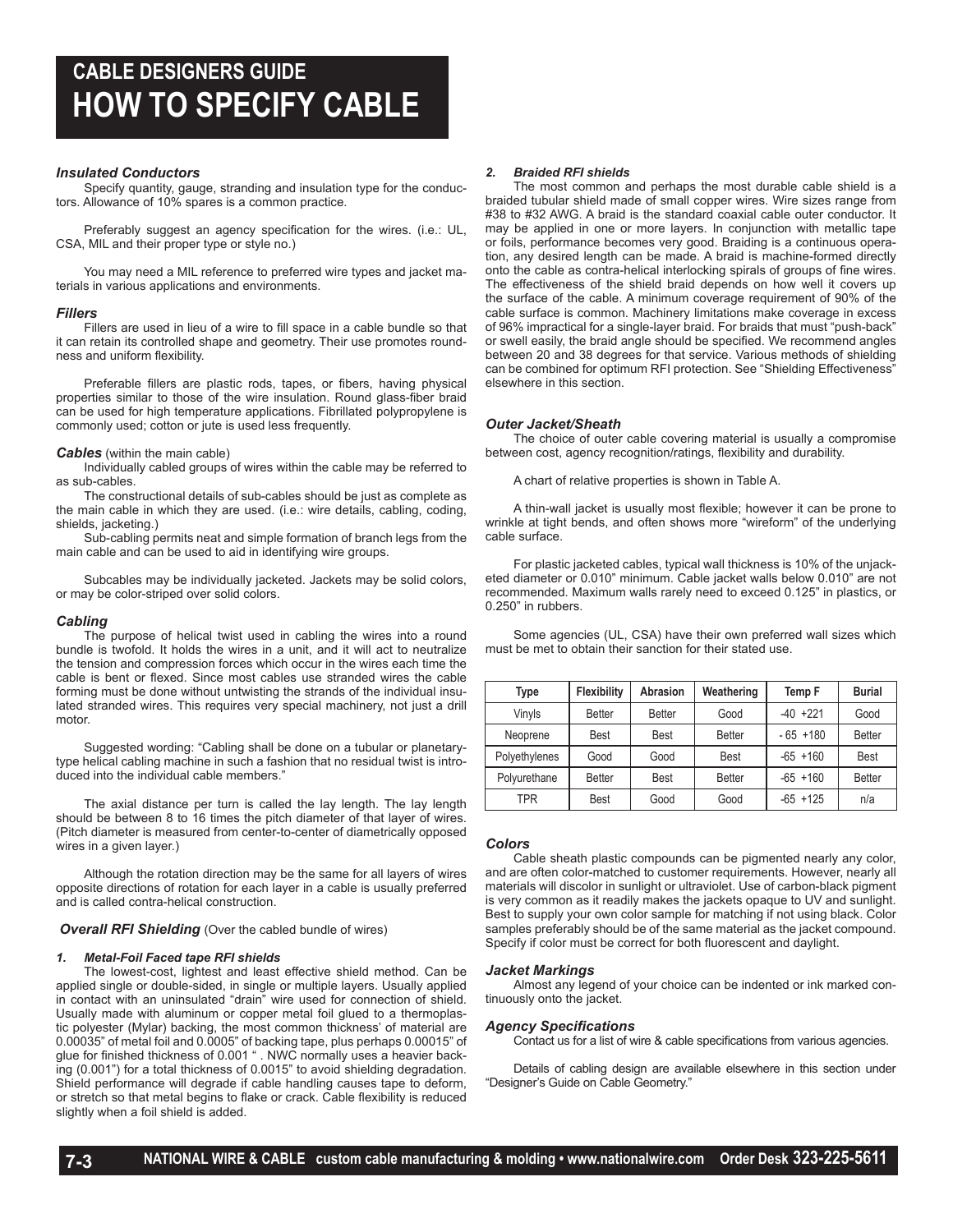#### *Insulated Conductors*

Specify quantity, gauge, stranding and insulation type for the conductors. Allowance of 10% spares is a common practice.

Preferably suggest an agency specification for the wires. (i.e.: UL, CSA, MIL and their proper type or style no.)

You may need a MIL reference to preferred wire types and jacket materials in various applications and environments.

#### *Fillers*

Fillers are used in lieu of a wire to fill space in a cable bundle so that it can retain its controlled shape and geometry. Their use promotes roundness and uniform flexibility.

Preferable fillers are plastic rods, tapes, or fibers, having physical properties similar to those of the wire insulation. Round glass-fiber braid can be used for high temperature applications. Fibrillated polypropylene is commonly used; cotton or jute is used less frequently.

#### *Cables* (within the main cable)

Individually cabled groups of wires within the cable may be referred to as sub-cables.

The constructional details of sub-cables should be just as complete as the main cable in which they are used. (i.e.: wire details, cabling, coding, shields, jacketing.)

Sub-cabling permits neat and simple formation of branch legs from the main cable and can be used to aid in identifying wire groups.

Subcables may be individually jacketed. Jackets may be solid colors, or may be color-striped over solid colors.

#### *Cabling*

The purpose of helical twist used in cabling the wires into a round bundle is twofold. It holds the wires in a unit, and it will act to neutralize the tension and compression forces which occur in the wires each time the cable is bent or flexed. Since most cables use stranded wires the cable forming must be done without untwisting the strands of the individual insulated stranded wires. This requires very special machinery, not just a drill motor.

Suggested wording: "Cabling shall be done on a tubular or planetarytype helical cabling machine in such a fashion that no residual twist is introduced into the individual cable members."

The axial distance per turn is called the lay length. The lay length should be between 8 to 16 times the pitch diameter of that layer of wires. (Pitch diameter is measured from center-to-center of diametrically opposed wires in a given layer.)

Although the rotation direction may be the same for all layers of wires opposite directions of rotation for each layer in a cable is usually preferred and is called contra-helical construction.

**Overall RFI Shielding** (Over the cabled bundle of wires)

#### *1. Metal-Foil Faced tape RFI shields*

The lowest-cost, lightest and least effective shield method. Can be applied single or double-sided, in single or multiple layers. Usually applied in contact with an uninsulated "drain" wire used for connection of shield. Usually made with aluminum or copper metal foil glued to a thermoplastic polyester (Mylar) backing, the most common thickness' of material are 0.00035" of metal foil and 0.0005" of backing tape, plus perhaps 0.00015" of glue for finished thickness of 0.001 " . NWC normally uses a heavier backing (0.001") for a total thickness of 0.0015" to avoid shielding degradation. Shield performance will degrade if cable handling causes tape to deform, or stretch so that metal begins to flake or crack. Cable flexibility is reduced slightly when a foil shield is added.

#### *2. Braided RFI shields*

The most common and perhaps the most durable cable shield is a braided tubular shield made of small copper wires. Wire sizes range from #38 to #32 AWG. A braid is the standard coaxial cable outer conductor. It may be applied in one or more layers. In conjunction with metallic tape or foils, performance becomes very good. Braiding is a continuous operation, any desired length can be made. A braid is machine-formed directly onto the cable as contra-helical interlocking spirals of groups of fine wires. The effectiveness of the shield braid depends on how well it covers up the surface of the cable. A minimum coverage requirement of 90% of the cable surface is common. Machinery limitations make coverage in excess of 96% impractical for a single-layer braid. For braids that must "push-back" or swell easily, the braid angle should be specified. We recommend angles between 20 and 38 degrees for that service. Various methods of shielding can be combined for optimum RFI protection. See "Shielding Effectiveness" elsewhere in this section.

#### *Outer Jacket/Sheath*

The choice of outer cable covering material is usually a compromise between cost, agency recognition/ratings, flexibility and durability.

A chart of relative properties is shown in Table A.

A thin-wall jacket is usually most flexible; however it can be prone to wrinkle at tight bends, and often shows more "wireform" of the underlying cable surface.

For plastic jacketed cables, typical wall thickness is 10% of the unjacketed diameter or 0.010" minimum. Cable jacket walls below 0.010" are not recommended. Maximum walls rarely need to exceed 0.125" in plastics, or 0.250" in rubbers.

Some agencies (UL, CSA) have their own preferred wall sizes which must be met to obtain their sanction for their stated use.

| Type          | <b>Flexibility</b> | Abrasion      | Weathering    | Temp F      | <b>Burial</b> |
|---------------|--------------------|---------------|---------------|-------------|---------------|
| Vinyls        | <b>Better</b>      | <b>Better</b> | Good          | $-40 +221$  | Good          |
| Neoprene      | <b>Best</b>        | <b>Best</b>   | <b>Better</b> | $-65 + 180$ | <b>Better</b> |
| Polyethylenes | Good               | Good          | <b>Best</b>   | $-65 + 160$ | <b>Best</b>   |
| Polyurethane  | <b>Better</b>      | <b>Best</b>   | <b>Better</b> | $-65 + 160$ | <b>Better</b> |
| TPR           | <b>Best</b>        | Good          | Good          | $-65 + 125$ | n/a           |

#### *Colors*

Cable sheath plastic compounds can be pigmented nearly any color, and are often color-matched to customer requirements. However, nearly all materials will discolor in sunlight or ultraviolet. Use of carbon-black pigment is very common as it readily makes the jackets opaque to UV and sunlight. Best to supply your own color sample for matching if not using black. Color samples preferably should be of the same material as the jacket compound. Specify if color must be correct for both fluorescent and daylight.

#### *Jacket Markings*

Almost any legend of your choice can be indented or ink marked continuously onto the jacket.

#### *Agency Specifications*

Contact us for a list of wire & cable specifications from various agencies.

Details of cabling design are available elsewhere in this section under "Designer's Guide on Cable Geometry."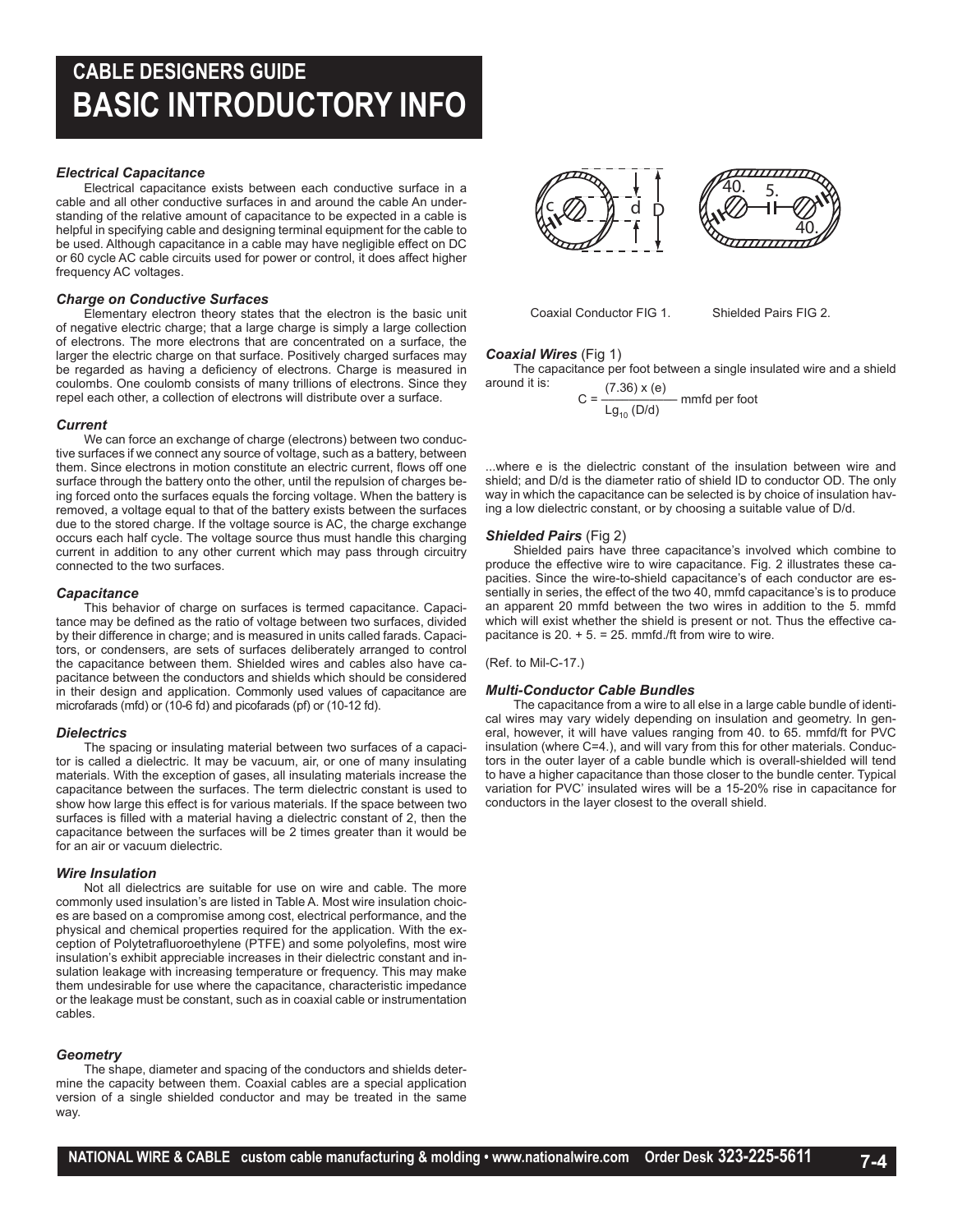## **CABLE DESIGNERS GUIDE BASIC INTRODUCTORY INFO**

#### *Electrical Capacitance*

Electrical capacitance exists between each conductive surface in a cable and all other conductive surfaces in and around the cable An understanding of the relative amount of capacitance to be expected in a cable is helpful in specifying cable and designing terminal equipment for the cable to be used. Although capacitance in a cable may have negligible effect on DC or 60 cycle AC cable circuits used for power or control, it does affect higher frequency AC voltages.

#### *Charge on Conductive Surfaces*

Elementary electron theory states that the electron is the basic unit of negative electric charge; that a large charge is simply a large collection of electrons. The more electrons that are concentrated on a surface, the larger the electric charge on that surface. Positively charged surfaces may be regarded as having a deficiency of electrons. Charge is measured in coulombs. One coulomb consists of many trillions of electrons. Since they repel each other, a collection of electrons will distribute over a surface.

#### *Current*

We can force an exchange of charge (electrons) between two conductive surfaces if we connect any source of voltage, such as a battery, between them. Since electrons in motion constitute an electric current, flows off one surface through the battery onto the other, until the repulsion of charges being forced onto the surfaces equals the forcing voltage. When the battery is removed, a voltage equal to that of the battery exists between the surfaces due to the stored charge. If the voltage source is AC, the charge exchange occurs each half cycle. The voltage source thus must handle this charging current in addition to any other current which may pass through circuitry connected to the two surfaces.

#### *Capacitance*

This behavior of charge on surfaces is termed capacitance. Capacitance may be defined as the ratio of voltage between two surfaces, divided by their difference in charge; and is measured in units called farads. Capacitors, or condensers, are sets of surfaces deliberately arranged to control the capacitance between them. Shielded wires and cables also have capacitance between the conductors and shields which should be considered in their design and application. Commonly used values of capacitance are microfarads (mfd) or (10-6 fd) and picofarads (pf) or (10-12 fd).

#### *Dielectrics*

The spacing or insulating material between two surfaces of a capacitor is called a dielectric. It may be vacuum, air, or one of many insulating materials. With the exception of gases, all insulating materials increase the capacitance between the surfaces. The term dielectric constant is used to show how large this effect is for various materials. If the space between two surfaces is filled with a material having a dielectric constant of 2, then the capacitance between the surfaces will be 2 times greater than it would be for an air or vacuum dielectric.

#### *Wire Insulation*

Not all dielectrics are suitable for use on wire and cable. The more commonly used insulation's are listed in Table A. Most wire insulation choices are based on a compromise among cost, electrical performance, and the physical and chemical properties required for the application. With the exception of Polytetrafluoroethylene (PTFE) and some polyolefins, most wire insulation's exhibit appreciable increases in their dielectric constant and insulation leakage with increasing temperature or frequency. This may make them undesirable for use where the capacitance, characteristic impedance or the leakage must be constant, such as in coaxial cable or instrumentation cables.

#### *Geometry*

The shape, diameter and spacing of the conductors and shields determine the capacity between them. Coaxial cables are a special application version of a single shielded conductor and may be treated in the same way.



Coaxial Conductor FIG 1. Shielded Pairs FIG 2.

#### *Coaxial Wires* (Fig 1)

The capacitance per foot between a single insulated wire and a shield around it is:

$$
C = \frac{(7.36) \times (e)}{Lg_{10} (D/d)}
$$
mmfd per foot

...where e is the dielectric constant of the insulation between wire and shield; and D/d is the diameter ratio of shield ID to conductor OD. The only way in which the capacitance can be selected is by choice of insulation having a low dielectric constant, or by choosing a suitable value of D/d.

#### *Shielded Pairs* (Fig 2)

Shielded pairs have three capacitance's involved which combine to produce the effective wire to wire capacitance. Fig. 2 illustrates these capacities. Since the wire-to-shield capacitance's of each conductor are essentially in series, the effect of the two 40, mmfd capacitance's is to produce an apparent 20 mmfd between the two wires in addition to the 5. mmfd which will exist whether the shield is present or not. Thus the effective capacitance is  $20. + 5. = 25.$  mmfd./ft from wire to wire.

(Ref. to Mil-C-17.)

#### *Multi-Conductor Cable Bundles*

The capacitance from a wire to all else in a large cable bundle of identical wires may vary widely depending on insulation and geometry. In general, however, it will have values ranging from 40. to 65. mmfd/ft for PVC insulation (where C=4.), and will vary from this for other materials. Conductors in the outer layer of a cable bundle which is overall-shielded will tend to have a higher capacitance than those closer to the bundle center. Typical variation for PVC' insulated wires will be a 15-20% rise in capacitance for conductors in the layer closest to the overall shield.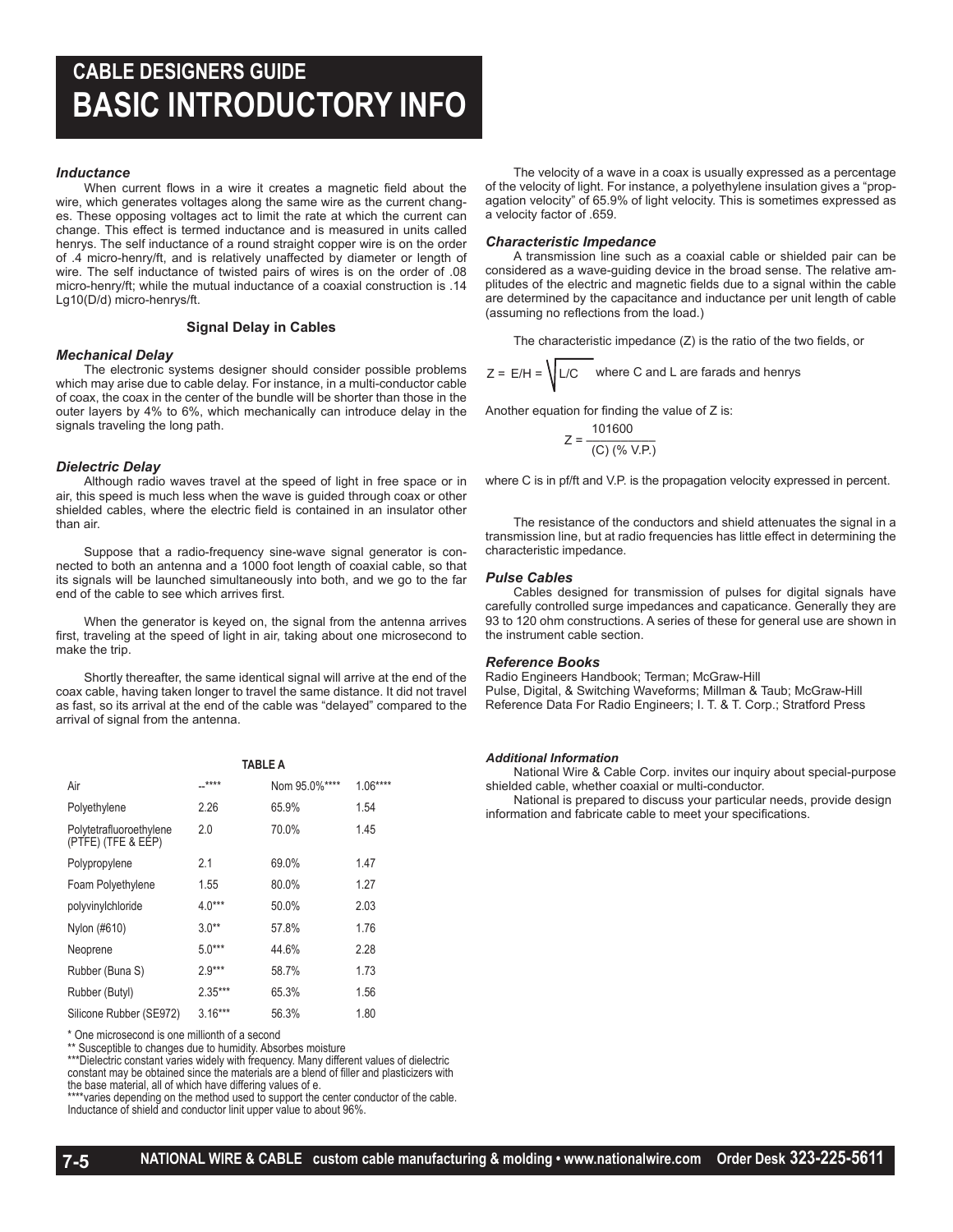## **CABLE DESIGNERS GUIDE BASIC INTRODUCTORY INFO**

#### *Inductance*

When current flows in a wire it creates a magnetic field about the wire, which generates voltages along the same wire as the current changes. These opposing voltages act to limit the rate at which the current can change. This effect is termed inductance and is measured in units called henrys. The self inductance of a round straight copper wire is on the order of .4 micro-henry/ft, and is relatively unaffected by diameter or length of wire. The self inductance of twisted pairs of wires is on the order of .08 micro-henry/ft; while the mutual inductance of a coaxial construction is .14 Lg10(D/d) micro-henrys/ft.

#### **Signal Delay in Cables**

#### *Mechanical Delay*

The electronic systems designer should consider possible problems which may arise due to cable delay. For instance, in a multi-conductor cable of coax, the coax in the center of the bundle will be shorter than those in the outer layers by 4% to 6%, which mechanically can introduce delay in the signals traveling the long path.

#### *Dielectric Delay*

Although radio waves travel at the speed of light in free space or in air, this speed is much less when the wave is guided through coax or other shielded cables, where the electric field is contained in an insulator other than air.

Suppose that a radio-frequency sine-wave signal generator is connected to both an antenna and a 1000 foot length of coaxial cable, so that its signals will be launched simultaneously into both, and we go to the far end of the cable to see which arrives first.

When the generator is keyed on, the signal from the antenna arrives first, traveling at the speed of light in air, taking about one microsecond to make the trip.

Shortly thereafter, the same identical signal will arrive at the end of the coax cable, having taken longer to travel the same distance. It did not travel as fast, so its arrival at the end of the cable was "delayed" compared to the arrival of signal from the antenna.

|                                               | TABLE A   |               |           |
|-----------------------------------------------|-----------|---------------|-----------|
| Air                                           | $***$     | Nom 95.0%**** | $1.06***$ |
| Polyethylene                                  | 2.26      | 65.9%         | 1.54      |
| Polytetrafluoroethylene<br>(PTFE) (TFE & EEP) | 2.0       | 70.0%         | 1.45      |
| Polypropylene                                 | 21        | 69.0%         | 147       |
| Foam Polyethylene                             | 1.55      | 80.0%         | 1.27      |
| polyvinylchloride                             | $4.0***$  | 50.0%         | 2.03      |
| Nylon (#610)                                  | $3.0**$   | 57.8%         | 1.76      |
| Neoprene                                      | $5.0***$  | 44.6%         | 2.28      |
| Rubber (Buna S)                               | $2.9***$  | 58.7%         | 1.73      |
| Rubber (Butyl)                                | $2.35***$ | 65.3%         | 1.56      |
| Silicone Rubber (SE972)                       | $3.16***$ | 56.3%         | 1.80      |

\* One microsecond is one millionth of a second

\*\* Susceptible to changes due to humidity. Absorbes moisture

\*\*\*Dielectric constant varies widely with frequency. Many different values of dielectric constant may be obtained since the materials are a blend of filler and plasticizers with the base material, all of which have differing values of e.

\*\*\*\*varies depending on the method used to support the center conductor of the cable.

Inductance of shield and conductor linit upper value to about 96%.

The velocity of a wave in a coax is usually expressed as a percentage of the velocity of light. For instance, a polyethylene insulation gives a "propagation velocity" of 65.9% of light velocity. This is sometimes expressed as a velocity factor of .659.

#### *Characteristic Impedance*

A transmission line such as a coaxial cable or shielded pair can be considered as a wave-guiding device in the broad sense. The relative amplitudes of the electric and magnetic fields due to a signal within the cable are determined by the capacitance and inductance per unit length of cable (assuming no reflections from the load.)

The characteristic impedance (Z) is the ratio of the two fields, or

$$
Z = E/H = \sqrt{L/C}
$$
 where C and L are farads and henrys

Another equation for finding the value of Z is:

$$
Z = \frac{101600}{\text{(C) } (\% \text{ V.P.})}
$$

where C is in pf/ft and V.P. is the propagation velocity expressed in percent.

The resistance of the conductors and shield attenuates the signal in a transmission line, but at radio frequencies has little effect in determining the characteristic impedance.

#### *Pulse Cables*

Cables designed for transmission of pulses for digital signals have carefully controlled surge impedances and capaticance. Generally they are 93 to 120 ohm constructions. A series of these for general use are shown in the instrument cable section.

#### *Reference Books*

Radio Engineers Handbook; Terman; McGraw-Hill Pulse, Digital, & Switching Waveforms; Millman & Taub; McGraw-Hill Reference Data For Radio Engineers; I. T. & T. Corp.; Stratford Press

#### *Additional Information*

National Wire & Cable Corp. invites our inquiry about special-purpose shielded cable, whether coaxial or multi-conductor.

National is prepared to discuss your particular needs, provide design information and fabricate cable to meet your specifications.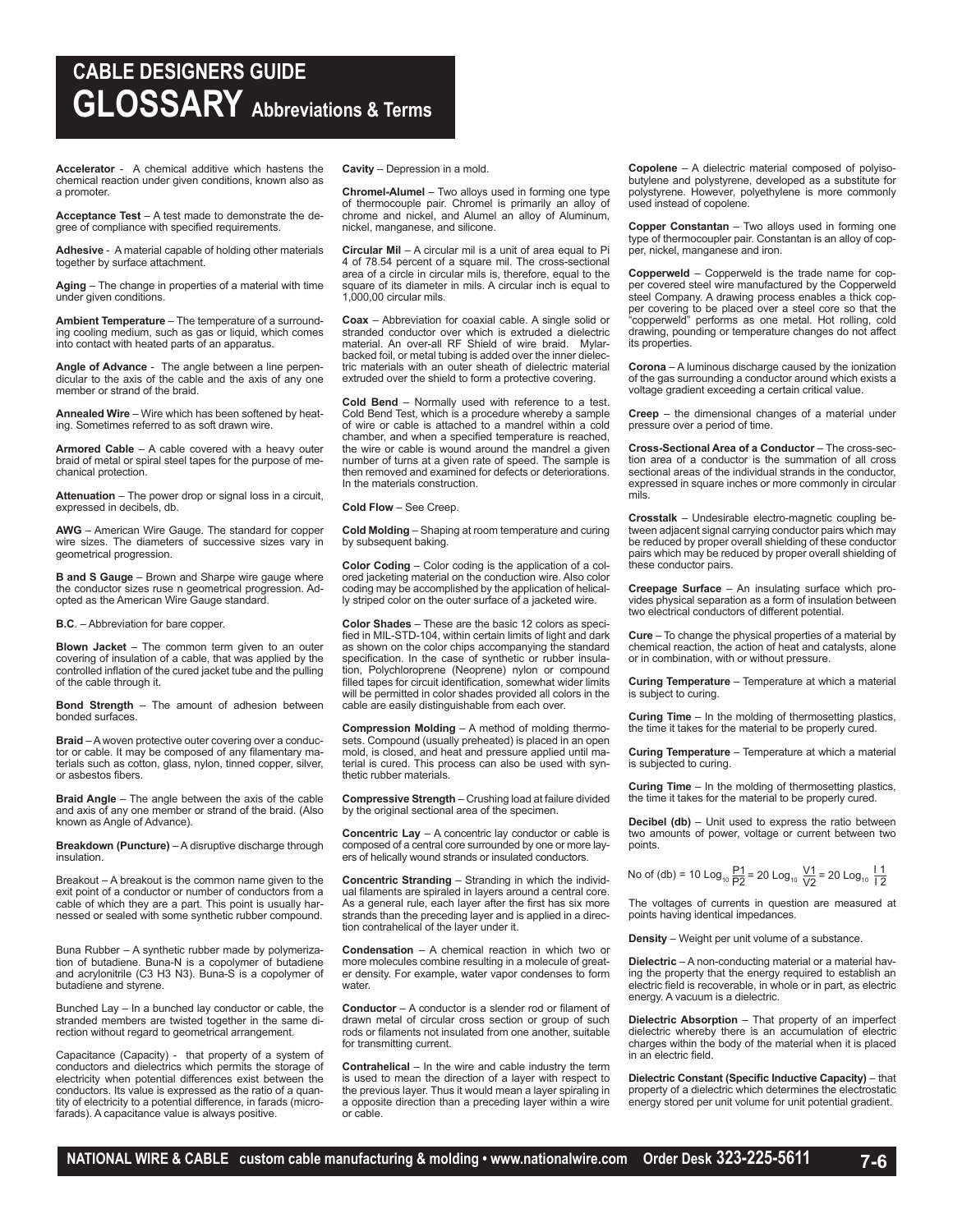## **CABLE DESIGNERS GUIDE GLOSSARY Abbreviations & Terms**

**Accelerator** - A chemical additive which hastens the chemical reaction under given conditions, known also as a promoter.

**Acceptance Test** – A test made to demonstrate the degree of compliance with specified requirements.

**Adhesive** - A material capable of holding other materials together by surface attachment.

**Aging** – The change in properties of a material with time under given conditions.

**Ambient Temperature** – The temperature of a surrounding cooling medium, such as gas or liquid, which comes into contact with heated parts of an apparatus.

**Angle of Advance** - The angle between a line perpen-dicular to the axis of the cable and the axis of any one member or strand of the braid.

**Annealed Wire** – Wire which has been softened by heating. Sometimes referred to as soft drawn wire.

**Armored Cable** – A cable covered with a heavy outer braid of metal or spiral steel tapes for the purpose of mechanical protection.

**Attenuation** – The power drop or signal loss in a circuit, expressed in decibels, db.

**AWG** – American Wire Gauge. The standard for copper wire sizes. The diameters of successive sizes vary in geometrical progression.

**B and S Gauge** – Brown and Sharpe wire gauge where the conductor sizes ruse n geometrical progression. Ad-opted as the American Wire Gauge standard.

**B.C**. – Abbreviation for bare copper.

**Blown Jacket** – The common term given to an outer covering of insulation of a cable, that was applied by the controlled inflation of the cured jacket tube and the pulling of the cable through it.

**Bond Strength** – The amount of adhesion between bonded surfaces.

**Braid** – A woven protective outer covering over a conductor or cable. It may be composed of any filamentary materials such as cotton, glass, nylon, tinned copper, silver, or asbestos fibers.

**Braid Angle** – The angle between the axis of the cable and axis of any one member or strand of the braid. (Also known as Angle of Advance).

**Breakdown (Puncture)** – A disruptive discharge through insulation.

Breakout – A breakout is the common name given to the exit point of a conductor or number of conductors from a cable of which they are a part. This point is usually harnessed or sealed with some synthetic rubber compound.

Buna Rubber – A synthetic rubber made by polymerization of butadiene. Buna-N is a copolymer of butadiene and acrylonitrile (C3 H3 N3). Buna-S is a copolymer of butadiene and styrene.

Bunched Lay – In a bunched lay conductor or cable, the stranded members are twisted together in the same direction without regard to geometrical arrangement.

Capacitance (Capacity) - that property of a system of conductors and dielectrics which permits the storage of electricity when potential differences exist between the conductors. Its value is expressed as the ratio of a quantity of electricity to a potential difference, in farads (microfarads). A capacitance value is always positive.

**Cavity** – Depression in a mold.

**Chromel-Alumel** – Two alloys used in forming one type of thermocouple pair. Chromel is primarily an alloy of chrome and nickel, and Alumel an alloy of Aluminum, nickel, manganese, and silicone.

**Circular Mil** – A circular mil is a unit of area equal to Pi 4 of 78.54 percent of a square mil. The cross-sectional area of a circle in circular mils is, therefore, equal to the square of its diameter in mils. A circular inch is equal to 1,000,00 circular mils.

**Coax** – Abbreviation for coaxial cable. A single solid or stranded conductor over which is extruded a dielectric material. An over-all RF Shield of wire braid. Mylarbacked foil, or metal tubing is added over the inner dielectric materials with an outer sheath of dielectric material extruded over the shield to form a protective covering.

**Cold Bend** – Normally used with reference to a test. Cold Bend Test, which is a procedure whereby a sample of wire or cable is attached to a mandrel within a cold chamber, and when a specified temperature is reached, the wire or cable is wound around the mandrel a given number of turns at a given rate of speed. The sample is then removed and examined for defects or deteriorations. In the materials construction.

**Cold Flow** – See Creep.

**Cold Molding** – Shaping at room temperature and curing by subsequent baking.

**Color Coding** – Color coding is the application of a colored jacketing material on the conduction wire. Also color coding may be accomplished by the application of helically striped color on the outer surface of a jacketed wire.

**Color Shades** – These are the basic 12 colors as specified in MIL-STD-104, within certain limits of light and dark as shown on the color chips accompanying the standard specification. In the case of synthetic or rubber insulation, Polychloroprene (Neoprene) nylon or compound filled tapes for circuit identification, somewhat wider limits will be permitted in color shades provided all colors in the cable are easily distinguishable from each over.

**Compression Molding** – A method of molding thermo-sets. Compound (usually preheated) is placed in an open mold, is closed, and heat and pressure applied until material is cured. This process can also be used with synthetic rubber materials.

**Compressive Strength** – Crushing load at failure divided by the original sectional area of the specimen.

**Concentric Lay** – A concentric lay conductor or cable is composed of a central core surrounded by one or more layers of helically wound strands or insulated conductors.

**Concentric Stranding** – Stranding in which the individ-ual filaments are spiraled in layers around a central core. As a general rule, each layer after the first has six more strands than the preceding layer and is applied in a direction contrahelical of the layer under it.

**Condensation** – A chemical reaction in which two or more molecules combine resulting in a molecule of greater density. For example, water vapor condenses to form water.

**Conductor** – A conductor is a slender rod or filament of drawn metal of circular cross section or group of such rods or filaments not insulated from one another, suitable for transmitting current.

**Contrahelical** – In the wire and cable industry the term is used to mean the direction of a layer with respect to the previous layer. Thus it would mean a layer spiraling in a opposite direction than a preceding layer within a wire or cable.

**Copolene** – A dielectric material composed of polyisobutylene and polystyrene, developed as a substitute for polystyrene. However, polyethylene is more commonly used instead of copolene.

**Copper Constantan** – Two alloys used in forming one type of thermocoupler pair. Constantan is an alloy of copper, nickel, manganese and iron.

**Copperweld** – Copperweld is the trade name for copper covered steel wire manufactured by the Copperweld steel Company. A drawing process enables a thick cop-per covering to be placed over a steel core so that the "copperweld" performs as one metal. Hot rolling, cold drawing, pounding or temperature changes do not affect its properties.

**Corona** – A luminous discharge caused by the ionization of the gas surrounding a conductor around which exists a voltage gradient exceeding a certain critical value.

**Creep** – the dimensional changes of a material under pressure over a period of time.

**Cross-Sectional Area of a Conductor** – The cross-section area of a conductor is the summation of all cross sectional areas of the individual strands in the conductor, expressed in square inches or more commonly in circular mils.

**Crosstalk** – Undesirable electro-magnetic coupling between adjacent signal carrying conductor pairs which may be reduced by proper overall shielding of these conductor pairs which may be reduced by proper overall shielding of these conductor pairs.

**Creepage Surface** – An insulating surface which provides physical separation as a form of insulation between two electrical conductors of different potential.

**Cure** – To change the physical properties of a material by chemical reaction, the action of heat and catalysts, alone or in combination, with or without pressure.

**Curing Temperature** – Temperature at which a material is subject to curing.

**Curing Time** – In the molding of thermosetting plastics, the time it takes for the material to be properly cured.

**Curing Temperature** – Temperature at which a material is subjected to curing.

**Curing Time** – In the molding of thermosetting plastics, the time it takes for the material to be properly cured.

**Decibel (db)** – Unit used to express the ratio between two amounts of power, voltage or current between two points.

No of (db) = 10 Log<sub>10</sub> 
$$
\frac{P1}{P2}
$$
 = 20 Log<sub>10</sub>  $\frac{V1}{V2}$  = 20 Log<sub>10</sub>  $\frac{11}{12}$ 

The voltages of currents in question are measured at points having identical impedances.

**Density** – Weight per unit volume of a substance.

**Dielectric** – A non-conducting material or a material having the property that the energy required to establish an electric field is recoverable, in whole or in part, as electric energy. A vacuum is a dielectric.

**Dielectric Absorption** – That property of an imperfect dielectric whereby there is an accumulation of electric charges within the body of the material when it is placed in an electric field.

**Dielectric Constant (Specific Inductive Capacity)** – that property of a dielectric which determines the electrostatic energy stored per unit volume for unit potential gradient.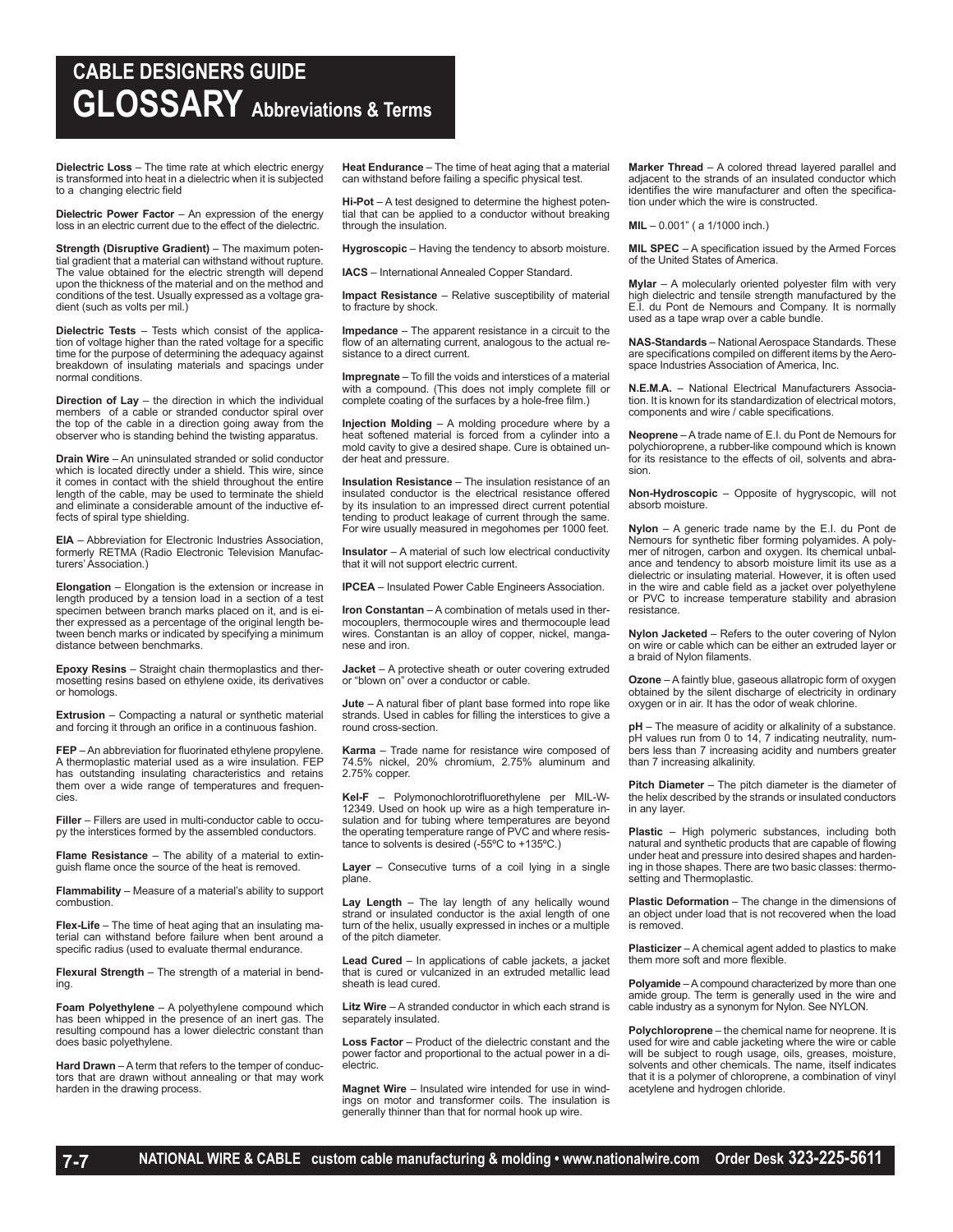## **CABLE DESIGNERS GUIDE GLOSSARY Abbreviations & Terms**

**Dielectric Loss** – The time rate at which electric energy is transformed into heat in a dielectric when it is subjected to a changing electric field

**Dielectric Power Factor** – An expression of the energy loss in an electric current due to the effect of the dielectric.

**Strength (Disruptive Gradient)** – The maximum potential gradient that a material can withstand without rupture. The value obtained for the electric strength will depend upon the thickness of the material and on the method and conditions of the test. Usually expressed as a voltage gradient (such as volts per mil.)

**Dielectric Tests** – Tests which consist of the application of voltage higher than the rated voltage for a specific time for the purpose of determining the adequacy against breakdown of insulating materials and spacings under normal conditions.

**Direction of Lay** – the direction in which the individual members of a cable or stranded conductor spiral over the top of the cable in a direction going away from the observer who is standing behind the twisting apparatus.

**Drain Wire** – An uninsulated stranded or solid conductor which is located directly under a shield. This wire, since it comes in contact with the shield throughout the entire length of the cable, may be used to terminate the shield and eliminate a considerable amount of the inductive effects of spiral type shielding.

**EIA** – Abbreviation for Electronic Industries Association, formerly RETMA (Radio Electronic Television Manufacturers' Association.)

**Elongation** – Elongation is the extension or increase in length produced by a tension load in a section of a test specimen between branch marks placed on it, and is either expressed as a percentage of the original length between bench marks or indicated by specifying a minimum distance between benchmarks.

**Epoxy Resins** – Straight chain thermoplastics and thermosetting resins based on ethylene oxide, its derivatives or homologs.

**Extrusion** – Compacting a natural or synthetic material and forcing it through an orifice in a continuous fashion.

**FEP** – An abbreviation for fluorinated ethylene propylene. A thermoplastic material used as a wire insulation. FEP has outstanding insulating characteristics and retains them over a wide range of temperatures and frequencies.

**Filler** – Fillers are used in multi-conductor cable to occupy the interstices formed by the assembled conductors.

**Flame Resistance** – The ability of a material to extinguish flame once the source of the heat is removed.

**Flammability** – Measure of a material's ability to support combustion.

**Flex-Life** – The time of heat aging that an insulating material can withstand before failure when bent around a specific radius (used to evaluate thermal endurance.

**Flexural Strength** – The strength of a material in bending.

**Foam Polyethylene** – A polyethylene compound which has been whipped in the presence of an inert gas. The resulting compound has a lower dielectric constant than does basic polyethylene.

**Hard Drawn** – A term that refers to the temper of conductors that are drawn without annealing or that may work harden in the drawing process.

**Heat Endurance** – The time of heat aging that a material can withstand before failing a specific physical test.

**Hi-Pot** – A test designed to determine the highest potential that can be applied to a conductor without breaking through the insulation.

**Hygroscopic** – Having the tendency to absorb moisture.

**IACS** – International Annealed Copper Standard.

**Impact Resistance** – Relative susceptibility of material to fracture by shock.

**Impedance** – The apparent resistance in a circuit to the flow of an alternating current, analogous to the actual resistance to a direct current.

**Impregnate** – To fill the voids and interstices of a material with a compound. (This does not imply complete fill or complete coating of the surfaces by a hole-free film.)

**Injection Molding** – A molding procedure where by a heat softened material is forced from a cylinder into a mold cavity to give a desired shape. Cure is obtained under heat and pressure.

**Insulation Resistance** – The insulation resistance of an insulated conductor is the electrical resistance offered by its insulation to an impressed direct current potential tending to product leakage of current through the same. For wire usually measured in megohomes per 1000 feet.

**Insulator** – A material of such low electrical conductivity that it will not support electric current.

**IPCEA** – Insulated Power Cable Engineers Association.

**Iron Constantan** – A combination of metals used in thermocouplers, thermocouple wires and thermocouple lead wires. Constantan is an alloy of copper, nickel, manganese and iron.

**Jacket** – A protective sheath or outer covering extruded or "blown on" over a conductor or cable.

**Jute** – A natural fiber of plant base formed into rope like strands. Used in cables for filling the interstices to give a round cross-section.

**Karma** – Trade name for resistance wire composed of 74.5% nickel, 20% chromium, 2.75% aluminum and 2.75% copper.

**Kel-F** – Polymonochlorotrifluorethylene per MIL-W-12349. Used on hook up wire as a high temperature insulation and for tubing where temperatures are beyond the operating temperature range of PVC and where resistance to solvents is desired (-55ºC to +135ºC.)

**Layer** – Consecutive turns of a coil lying in a single plane.

**Lay Length** – The lay length of any helically wound strand or insulated conductor is the axial length of one turn of the helix, usually expressed in inches or a multiple of the pitch diameter.

**Lead Cured** – In applications of cable jackets, a jacket that is cured or vulcanized in an extruded metallic lead sheath is lead cured.

**Litz Wire** – A stranded conductor in which each strand is separately insulated.

**Loss Factor** – Product of the dielectric constant and the power factor and proportional to the actual power in a dielectric.

**Magnet Wire** – Insulated wire intended for use in windings on motor and transformer coils. The insulation is generally thinner than that for normal hook up wire.

**Marker Thread** – A colored thread layered parallel and adjacent to the strands of an insulated conductor which identifies the wire manufacturer and often the specification under which the wire is constructed.

**MIL** – 0.001" ( a 1/1000 inch.)

**MIL SPEC** – A specification issued by the Armed Forces of the United States of America.

**Mylar** – A molecularly oriented polyester film with very high dielectric and tensile strength manufactured by the E.I. du Pont de Nemours and Company. It is normally used as a tape wrap over a cable bundle.

**NAS-Standards** – National Aerospace Standards. These are specifications compiled on different items by the Aerospace Industries Association of America, Inc.

**N.E.M.A.** – National Electrical Manufacturers Association. It is known for its standardization of electrical motors, components and wire / cable specifications.

**Neoprene** – A trade name of E.I. du Pont de Nemours for polychioroprene, a rubber-like compound which is known for its resistance to the effects of oil, solvents and abrasion.

**Non-Hydroscopic** – Opposite of hygryscopic, will not absorb moisture.

**Nylon** – A generic trade name by the E.I. du Pont de Nemours for synthetic fiber forming polyamides. A polymer of nitrogen, carbon and oxygen. Its chemical unbalance and tendency to absorb moisture limit its use as a dielectric or insulating material. However, it is often used in the wire and cable field as a jacket over polyethylene or PVC to increase temperature stability and abrasion resistance.

**Nylon Jacketed** – Refers to the outer covering of Nylon on wire or cable which can be either an extruded layer or a braid of Nylon filaments.

**Ozone** – A faintly blue, gaseous allatropic form of oxygen obtained by the silent discharge of electricity in ordinary oxygen or in air. It has the odor of weak chlorine.

**pH** – The measure of acidity or alkalinity of a substance. pH values run from 0 to 14, 7 indicating neutrality, numbers less than 7 increasing acidity and numbers greater than 7 increasing alkalinity.

**Pitch Diameter** – The pitch diameter is the diameter of the helix described by the strands or insulated conductors in any layer.

**Plastic** – High polymeric substances, including both natural and synthetic products that are capable of flowing under heat and pressure into desired shapes and hardening in those shapes. There are two basic classes: thermosetting and Thermoplastic.

**Plastic Deformation** – The change in the dimensions of an object under load that is not recovered when the load is removed.

**Plasticizer** – A chemical agent added to plastics to make them more soft and more flexible.

**Polyamide** – A compound characterized by more than one amide group. The term is generally used in the wire and cable industry as a synonym for Nylon. See NYLON.

**Polychloroprene** – the chemical name for neoprene. It is used for wire and cable jacketing where the wire or cable will be subject to rough usage, oils, greases, moisture, solvents and other chemicals. The name, itself indicates that it is a polymer of chloroprene, a combination of vinyl acetylene and hydrogen chloride.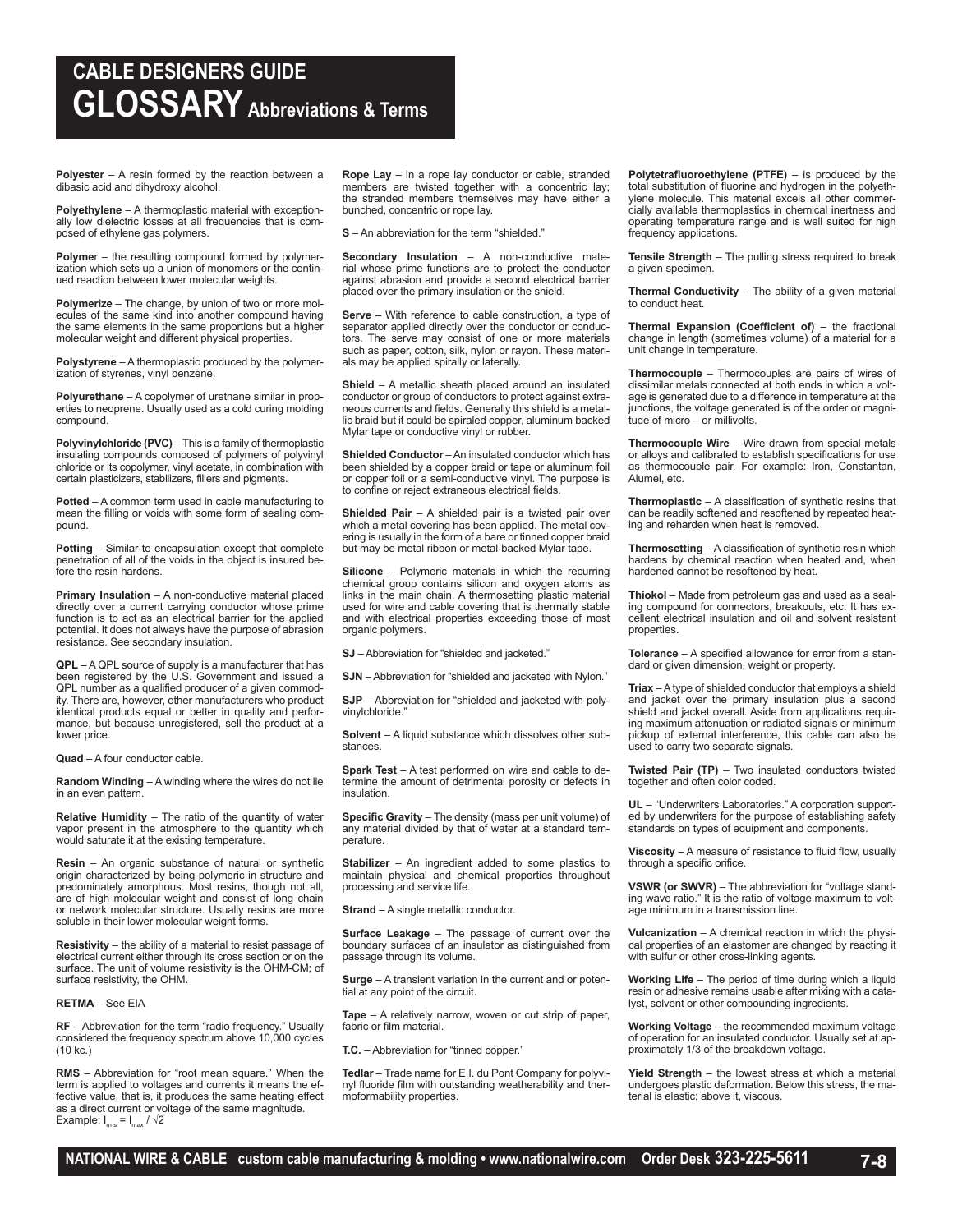## **CABLE DESIGNERS GUIDE GLOSSARY Abbreviations & Terms**

**Polyester** – A resin formed by the reaction between a dibasic acid and dihydroxy alcohol.

**Polyethylene** – A thermoplastic material with exceptionally low dielectric losses at all frequencies that is composed of ethylene gas polymers.

**Polyme**r – the resulting compound formed by polymerization which sets up a union of monomers or the continued reaction between lower molecular weights.

**Polymerize** – The change, by union of two or more molecules of the same kind into another compound having the same elements in the same proportions but a higher molecular weight and different physical properties.

**Polystyrene** – A thermoplastic produced by the polymerization of styrenes, vinyl benzene.

**Polyurethane** – A copolymer of urethane similar in properties to neoprene. Usually used as a cold curing molding compound.

**Polyvinylchloride (PVC)** – This is a family of thermoplastic insulating compounds composed of polymers of polyvinyl chloride or its copolymer, vinyl acetate, in combination with certain plasticizers, stabilizers, fillers and pigments.

**Potted** – A common term used in cable manufacturing to mean the filling or voids with some form of sealing compound.

**Potting** – Similar to encapsulation except that complete penetration of all of the voids in the object is insured before the resin hardens.

**Primary Insulation** – A non-conductive material placed directly over a current carrying conductor whose prime function is to act as an electrical barrier for the applied potential. It does not always have the purpose of abrasion resistance. See secondary insulation.

**QPL** – A QPL source of supply is a manufacturer that has been registered by the U.S. Government and issued a QPL number as a qualified producer of a given commodity. There are, however, other manufacturers who product identical products equal or better in quality and performance, but because unregistered, sell the product at a lower price.

**Quad** – A four conductor cable.

**Random Winding** – A winding where the wires do not lie in an even pattern.

**Relative Humidity** – The ratio of the quantity of water vapor present in the atmosphere to the quantity which would saturate it at the existing temperature.

**Resin** – An organic substance of natural or synthetic origin characterized by being polymeric in structure and predominately amorphous. Most resins, though not all, are of high molecular weight and consist of long chain or network molecular structure. Usually resins are more soluble in their lower molecular weight forms.

**Resistivity** – the ability of a material to resist passage of electrical current either through its cross section or on the surface. The unit of volume resistivity is the OHM-CM; of surface resistivity, the OHM.

#### **RETMA** – See EIA

**RF** – Abbreviation for the term "radio frequency." Usually considered the frequency spectrum above 10,000 cycles (10 kc.)

**RMS** – Abbreviation for "root mean square." When the term is applied to voltages and currents it means the effective value, that is, it produces the same heating effect as a direct current or voltage of the same magnitude. Example:  $I_{rms} = I_{max} / \sqrt{2}$ 

**Rope Lay** – In a rope lay conductor or cable, stranded members are twisted together with a concentric lay: the stranded members themselves may have either a bunched, concentric or rope lay.

**S** – An abbreviation for the term "shielded."

**Secondary Insulation** – A non-conductive material whose prime functions are to protect the conductor against abrasion and provide a second electrical barrier placed over the primary insulation or the shield.

**Serve** – With reference to cable construction, a type of separator applied directly over the conductor or conductors. The serve may consist of one or more materials such as paper, cotton, silk, nylon or rayon. These materials may be applied spirally or laterally.

**Shield** – A metallic sheath placed around an insulated conductor or group of conductors to protect against extraneous currents and fields. Generally this shield is a metallic braid but it could be spiraled copper, aluminum backed Mylar tape or conductive vinyl or rubber.

**Shielded Conductor** – An insulated conductor which has been shielded by a copper braid or tape or aluminum foil or copper foil or a semi-conductive vinyl. The purpose is to confine or reject extraneous electrical fields.

**Shielded Pair** – A shielded pair is a twisted pair over which a metal covering has been applied. The metal covering is usually in the form of a bare or tinned copper braid but may be metal ribbon or metal-backed Mylar tape.

**Silicone** – Polymeric materials in which the recurring chemical group contains silicon and oxygen atoms as links in the main chain. A thermosetting plastic material used for wire and cable covering that is thermally stable and with electrical properties exceeding those of most organic polymers.

**SJ** – Abbreviation for "shielded and jacketed."

**SJN** – Abbreviation for "shielded and jacketed with Nylon."

**SJP** – Abbreviation for "shielded and jacketed with polyvinylchloride."

**Solvent** – A liquid substance which dissolves other substances.

**Spark Test** – A test performed on wire and cable to determine the amount of detrimental porosity or defects in insulation.

**Specific Gravity** – The density (mass per unit volume) of any material divided by that of water at a standard temperature.

**Stabilizer** – An ingredient added to some plastics to maintain physical and chemical properties throughout processing and service life.

**Strand** – A single metallic conductor.

**Surface Leakage** – The passage of current over the boundary surfaces of an insulator as distinguished from passage through its volume.

**Surge** – A transient variation in the current and or potential at any point of the circuit.

**Tape** – A relatively narrow, woven or cut strip of paper, fabric or film material.

**T.C.** – Abbreviation for "tinned copper."

**Tedlar** – Trade name for E.I. du Pont Company for polyvinyl fluoride film with outstanding weatherability and thermoformability properties.

**Polytetrafluoroethylene (PTFE)** – is produced by the total substitution of fluorine and hydrogen in the polyethylene molecule. This material excels all other commercially available thermoplastics in chemical inertness and operating temperature range and is well suited for high frequency applications.

**Tensile Strength** – The pulling stress required to break a given specimen.

**Thermal Conductivity** – The ability of a given material to conduct heat.

**Thermal Expansion (Coefficient of)** – the fractional change in length (sometimes volume) of a material for a unit change in temperature.

**Thermocouple** – Thermocouples are pairs of wires of dissimilar metals connected at both ends in which a voltage is generated due to a difference in temperature at the junctions, the voltage generated is of the order or magnitude of micro – or millivolts.

**Thermocouple Wire** – Wire drawn from special metals or alloys and calibrated to establish specifications for use as thermocouple pair. For example: Iron, Constantan, Alumel, etc.

**Thermoplastic** – A classification of synthetic resins that can be readily softened and resoftened by repeated heating and reharden when heat is removed.

**Thermosetting** – A classification of synthetic resin which hardens by chemical reaction when heated and, when hardened cannot be resoftened by heat.

**Thiokol** – Made from petroleum gas and used as a sealing compound for connectors, breakouts, etc. It has excellent electrical insulation and oil and solvent resistant properties.

**Tolerance** – A specified allowance for error from a standard or given dimension, weight or property.

**Triax** – A type of shielded conductor that employs a shield and jacket over the primary insulation plus a second shield and jacket overall. Aside from applications requiring maximum attenuation or radiated signals or minimum pickup of external interference, this cable can also be used to carry two separate signals.

**Twisted Pair (TP)** – Two insulated conductors twisted together and often color coded.

**UL** – "Underwriters Laboratories." A corporation supported by underwriters for the purpose of establishing safety standards on types of equipment and components.

**Viscosity** – A measure of resistance to fluid flow, usually through a specific orifice.

**VSWR (or SWVR)** – The abbreviation for "voltage standing wave ratio." It is the ratio of voltage maximum to voltage minimum in a transmission line.

**Vulcanization** – A chemical reaction in which the physical properties of an elastomer are changed by reacting it with sulfur or other cross-linking agents.

**Working Life** – The period of time during which a liquid resin or adhesive remains usable after mixing with a catalyst, solvent or other compounding ingredients.

**Working Voltage** – the recommended maximum voltage of operation for an insulated conductor. Usually set at approximately 1/3 of the breakdown voltage.

**Yield Strength** – the lowest stress at which a material undergoes plastic deformation. Below this stress, the material is elastic; above it, viscous.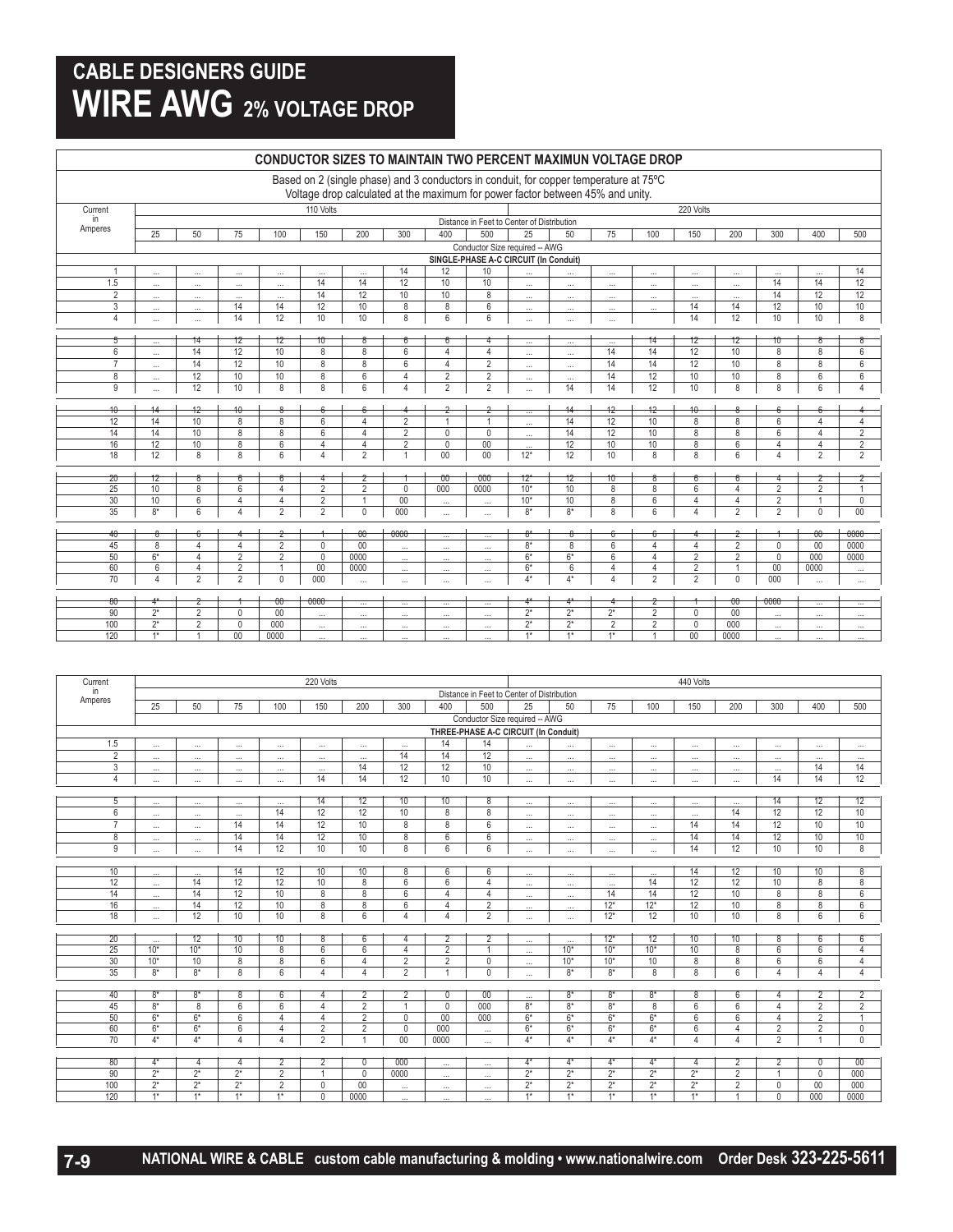## **CABLE DESIGNERS GUIDE WIRE AWG 2% VOLTAGE DROP**

|                | <b>CONDUCTOR SIZES TO MAINTAIN TWO PERCENT MAXIMUN VOLTAGE DROP</b>                                                                                                     |                     |                 |                |                      |                          |                      |                                      |                                      |                                            |                          |                                |                     |                 |                 |                      |                      |                      |
|----------------|-------------------------------------------------------------------------------------------------------------------------------------------------------------------------|---------------------|-----------------|----------------|----------------------|--------------------------|----------------------|--------------------------------------|--------------------------------------|--------------------------------------------|--------------------------|--------------------------------|---------------------|-----------------|-----------------|----------------------|----------------------|----------------------|
|                | Based on 2 (single phase) and 3 conductors in conduit, for copper temperature at 75°C<br>Voltage drop calculated at the maximum for power factor between 45% and unity. |                     |                 |                |                      |                          |                      |                                      |                                      |                                            |                          |                                |                     |                 |                 |                      |                      |                      |
| Current        |                                                                                                                                                                         |                     |                 |                | 110 Volts            |                          |                      |                                      |                                      |                                            |                          |                                |                     | 220 Volts       |                 |                      |                      |                      |
| in             |                                                                                                                                                                         |                     |                 |                |                      |                          |                      |                                      |                                      | Distance in Feet to Center of Distribution |                          |                                |                     |                 |                 |                      |                      |                      |
| Amperes        | 25                                                                                                                                                                      | 50                  | 75              | 100            | 150                  | 200                      | 300                  | 400                                  | 500                                  | 25                                         | 50                       | 75                             | 100                 | 150             | 200             | 300                  | 400                  | 500                  |
|                |                                                                                                                                                                         |                     |                 |                |                      |                          |                      |                                      |                                      | Conductor Size required -- AWG             |                          |                                |                     |                 |                 |                      |                      |                      |
|                |                                                                                                                                                                         |                     |                 |                |                      |                          |                      |                                      |                                      | SINGLE-PHASE A-C CIRCUIT (In Conduit)      |                          |                                |                     |                 |                 |                      |                      |                      |
| $\overline{1}$ | $\ddotsc$                                                                                                                                                               | $\cdots$            | $\sim$          | $\ddotsc$      | $\ddot{\phantom{a}}$ |                          | 14                   | 12                                   | 10                                   |                                            |                          | $\cdots$                       | $\cdots$            |                 |                 |                      |                      | 14                   |
| 1.5            | $\ldots$                                                                                                                                                                | $\cdots$            | $\cdots$        | $\cdots$       | 14                   | 14                       | 12                   | 10                                   | 10                                   | $\ldots$                                   | $\cdots$                 | $\ldots$                       | $\ldots$            | $\ldots$        | $\cdots$        | 14                   | 14                   | 12                   |
| $\overline{2}$ | $\cdots$                                                                                                                                                                | $\cdots$            | $\ddotsc$       | $\cdots$       | 14                   | $\overline{12}$          | 10                   | 10                                   | $\overline{8}$                       | $\cdots$                                   | $\cdots$                 | $\cdots$                       | $\ldots$            | $\cdots$        | $\ddotsc$       | 14                   | 12                   | 12                   |
| 3              | $\cdots$                                                                                                                                                                | $\cdots$            | 14              | 14             | 12                   | 10                       | 8                    | 8                                    | 6                                    | $\cdots$                                   | $\cdots$                 | $\ldots$                       | $\ldots$            | 14              | 14              | 12                   | 10                   | 10                   |
| 4              | $\cdots$                                                                                                                                                                | $\cdots$            | 14              | 12             | 10                   | 10                       | 8                    | $6\phantom{1}$                       | $6\phantom{1}$                       | $\cdots$                                   | $\cdots$                 | $\cdots$                       |                     | 14              | 12              | 10                   | 10                   | 8                    |
| ঠ              |                                                                                                                                                                         | 14                  | 12              | 12             | 10                   |                          |                      |                                      |                                      |                                            |                          |                                | 14                  | 12              | 12              | 10                   |                      |                      |
| 6              | $\overline{\phantom{a}}$                                                                                                                                                | 14                  | 12              | 10             | 8                    | 8                        | 6                    | $\overline{4}$                       | $\overline{4}$                       | $\overline{\phantom{a}}$                   | $\overline{\phantom{a}}$ | $\overline{\phantom{a}}$<br>14 | 14                  | 12              | 10              | 8                    | 8                    | 6                    |
| $\overline{7}$ | $\cdots$                                                                                                                                                                | $\overline{14}$     | $\overline{12}$ | 10             | $\overline{8}$       | $\overline{8}$           | 6                    | $\overline{4}$                       | $\overline{2}$                       | $\ldots$                                   | $\ldots$                 | $\overline{14}$                | $\overline{14}$     | $\overline{12}$ | $\overline{10}$ | $\overline{8}$       | 8                    | 6                    |
| 8              | $\ddotsc$                                                                                                                                                               | 12                  | 10              | 10             | 8                    | 6                        | 4                    | $\overline{2}$                       | $\overline{2}$                       | $\cdots$                                   | $\cdots$                 | 14                             | 12                  | 10              | 10              | 8                    | 6                    | 6                    |
| $\overline{9}$ | $\ddotsc$                                                                                                                                                               | 12                  | 10              | 8              | 8                    | $6\overline{6}$          | $\overline{4}$       | $\overline{2}$                       | $\overline{2}$                       | $\cdots$<br>$\cdots$                       | $\ddotsc$<br>14          | 14                             | 12                  | 10              | $\overline{8}$  | $\overline{8}$       | 6                    | $\overline{4}$       |
|                |                                                                                                                                                                         |                     |                 |                |                      |                          |                      |                                      |                                      |                                            |                          |                                |                     |                 |                 |                      |                      |                      |
| 10             | 14                                                                                                                                                                      | $+2$                | $\overline{10}$ | 8              | 6                    |                          |                      | Z                                    | Z                                    | $\cdots$                                   | 14                       | $+2$                           | $+2$                | $10^{-1}$       |                 |                      |                      |                      |
| 12             | 14                                                                                                                                                                      | 10 <sup>1</sup>     | 8               | 8              | 6                    | $\overline{4}$           | $\overline{2}$       | $\overline{1}$                       | $\mathbf{1}$                         | $\cdots$                                   | 14                       | $\overline{12}$                | 10                  | 8               | 8               | 6                    | $\overline{4}$       | $\overline{4}$       |
| 14             | $\overline{14}$                                                                                                                                                         | 10                  | $\overline{8}$  | $\overline{8}$ | $6\overline{}$       | $\overline{4}$           | $\overline{2}$       | $\mathbf{0}$                         | $\mathbf{0}$                         | $\cdots$                                   | $\overline{14}$          | 12                             | 10                  | $\overline{8}$  | 8               | 6                    | 4                    | $\overline{2}$       |
| 16             | $\overline{12}$                                                                                                                                                         | 10                  | $\overline{8}$  | 6              | $\overline{4}$       | $\overline{4}$           | $\overline{2}$       | $\mathbf{0}$                         | $\overline{00}$                      | $\cdots$                                   | $\overline{12}$          | 10                             | 10                  | $\overline{8}$  | 6               | $\overline{4}$       | $\overline{4}$       | $\overline{2}$       |
| 18             | 12                                                                                                                                                                      | 8                   | 8               | 6              | $\overline{4}$       | $\overline{2}$           | 1                    | 00                                   | $00\,$                               | $12*$                                      | 12                       | 10                             | 8                   | 8               | 6               | 4                    | $\overline{2}$       | $\overline{2}$       |
| $20 -$         | $+2$                                                                                                                                                                    | ୫                   |                 | 6              |                      | z                        |                      | $-00$                                | $-000$                               | $+2*$                                      | $+2$                     | $10 -$                         |                     | ᠊ᡠ              |                 |                      |                      | z                    |
| 25             | 10                                                                                                                                                                      | 8                   | 6               | $\overline{4}$ | $\overline{2}$       | $\overline{2}$           | $\mathbf{0}$         | 000                                  | 0000                                 | $10*$                                      | 10                       | 8                              | 8                   | 6               | $\overline{4}$  | $\overline{2}$       | $\overline{2}$       | $\mathbf{1}$         |
| 30             | 10                                                                                                                                                                      | $6\phantom{a}$      | 4               | $\overline{4}$ | $\overline{2}$       | $\mathbf{1}$             | 00                   | $\ddotsc$                            | $\ddot{\phantom{a}}$                 | $10*$                                      | 10                       | 8                              | $6\phantom{a}$      | 4               | 4               | $\overline{2}$       | $\overline{1}$       | $\overline{0}$       |
| 35             | $8*$                                                                                                                                                                    | $6\overline{}$      | 4               | $\overline{2}$ | $\overline{2}$       | $\overline{0}$           | 000                  | $\cdots$                             | $\cdots$                             | $8*$                                       | $8*$                     | $\overline{8}$                 | 6                   | $\overline{4}$  | $\overline{2}$  | $\overline{2}$       | $\mathbf{0}$         | 00                   |
| 40             | ₩                                                                                                                                                                       | ₩                   |                 | z              |                      | $-00$                    | $-0000$              |                                      |                                      | ಕಿ                                         | ত                        | ₩                              | 6                   |                 | z               |                      | $\theta$             | $-0000$              |
| 45             | $\overline{8}$                                                                                                                                                          | 4                   | $\overline{4}$  | $\overline{2}$ | $\overline{0}$       | 00                       | $\ddotsc$            | $\overline{\phantom{a}}$<br>$\cdots$ | $\overline{\phantom{a}}$<br>$\ldots$ | $8*$                                       | $\overline{8}$           | $6\overline{6}$                | $\overline{4}$      | $\overline{4}$  | $\overline{2}$  | $\Omega$             | $\overline{00}$      | 0000                 |
| 50             | $6*$                                                                                                                                                                    | $\overline{4}$      | $\overline{2}$  | $\overline{2}$ | $\overline{0}$       | 0000                     | $\cdots$             | $\cdots$                             | $\cdots$                             | $6*$                                       | $6*$                     | 6                              | $\overline{4}$      | $\overline{2}$  | $\overline{2}$  | $\Omega$             | 000                  | 0000                 |
| 60             | 6                                                                                                                                                                       | 4                   | $\overline{2}$  | $\mathbf{1}$   | 00                   | 0000                     | $\ddotsc$            | $\ddotsc$                            | $\cdots$                             | $6*$                                       | 6                        | 4                              | $\overline{4}$      | $\overline{2}$  | $\overline{1}$  | 00                   | 0000                 |                      |
| 70             | $\overline{4}$                                                                                                                                                          | $\overline{2}$      | $\overline{2}$  | $\overline{0}$ | 000                  | $\cdots$                 | $\cdots$             | $\cdots$                             | $\cdots$                             | $4*$                                       | $4*$                     | $\overline{4}$                 | $\overline{2}$      | $\overline{2}$  | $\Omega$        | 000                  |                      | $\cdots$             |
|                |                                                                                                                                                                         |                     |                 |                | $-0000$              |                          |                      |                                      |                                      |                                            |                          |                                |                     |                 |                 | $-0000$              |                      |                      |
| 80<br>90       | $2*$                                                                                                                                                                    | z<br>$\overline{2}$ | $\mathbf{0}$    | 00<br>00       |                      | $\overline{\phantom{a}}$ | $\ldots$             | $\cdots$                             | $\cdots$                             | $2^*$                                      | $2*$                     | $2*$                           | Ζ<br>$\overline{2}$ | $\mathbf{0}$    | Ûθ<br>00        |                      | $\cdots$             | $\cdots$             |
| 100            | $2^*$                                                                                                                                                                   | $\overline{2}$      | $\mathbf 0$     | 000            | $\cdots$             | $\cdots$                 | $\cdots$             | $\cdots$                             | $\cdots$                             | $2*$                                       | $2*$                     | $\overline{2}$                 | $\overline{2}$      | $\overline{0}$  | 000             | $\cdots$             | $\cdots$             |                      |
| 120            | $1*$                                                                                                                                                                    | $\mathbf{1}$        | 00              | 0000           | $\cdots$<br>$\cdots$ | $\cdots$<br>$\cdots$     | $\cdots$<br>$\cdots$ | $\cdots$<br>$\cdots$                 | $\cdots$<br>$\cdots$                 | $1*$                                       | $1*$                     | $1*$                           | $\mathbf{1}$        | 00              | 0000            | $\cdots$<br>$\cdots$ | $\cdots$<br>$\cdots$ | $\cdots$<br>$\cdots$ |
|                |                                                                                                                                                                         |                     |                 |                |                      |                          |                      |                                      |                                      |                                            |                          |                                |                     |                 |                 |                      |                      |                      |

| Current        | 220 Volts |                                            |                       |                |                                  |                 |                      |                      | 440 Volts                            |          |          |                |                       |                       |                |                |                 |                |
|----------------|-----------|--------------------------------------------|-----------------------|----------------|----------------------------------|-----------------|----------------------|----------------------|--------------------------------------|----------|----------|----------------|-----------------------|-----------------------|----------------|----------------|-----------------|----------------|
| in             |           | Distance in Feet to Center of Distribution |                       |                |                                  |                 |                      |                      |                                      |          |          |                |                       |                       |                |                |                 |                |
| Amperes        | 25        | 50                                         | 75                    | 100            | 150                              | 200             | 300                  | 400                  | 500                                  | 25       | 50       | 75             | 100                   | 150                   | 200            | 300            | 400             | 500            |
|                |           |                                            |                       |                |                                  |                 |                      |                      | Conductor Size required -- AWG       |          |          |                |                       |                       |                |                |                 |                |
|                |           |                                            |                       |                |                                  |                 |                      |                      | THREE-PHASE A-C CIRCUIT (In Conduit) |          |          |                |                       |                       |                |                |                 |                |
| 1.5            | $\cdots$  | $\cdots$                                   | $\cdots$              | $\cdots$       | $\cdots$                         | $\cdots$        | $\cdots$             | 14                   | 14                                   | $\cdots$ | $\cdots$ | $\cdots$       | $\cdots$              | $\cdots$              | $\cdots$       | $\cdots$       | $\cdots$        | $\cdots$       |
| $\overline{2}$ | $\cdots$  | $\cdots$                                   | $\cdots$              | $\cdots$       | $\cdots$                         | $\cdots$        | 14                   | 14                   | 12                                   | $\cdots$ | $\cdots$ | $\cdots$       | $\cdots$              | $\cdots$              | $\cdots$       | $\cdots$       | $\cdots$        | $\cdots$       |
| 3              | $\cdots$  | $\cdots$                                   | $\cdots$              | $\cdots$       | $\cdots$                         | 14              | 12                   | 12                   | 10                                   | $\cdots$ | $\cdots$ | $\cdots$       | $\cdots$              | $\cdots$              | $\cdots$       | $\cdots$       | 14              | 14             |
| $\overline{4}$ | $\cdots$  | $\cdots$                                   | $\cdots$              | $\cdots$       | 14                               | 14              | 12                   | 10                   | 10                                   | $\cdots$ | $\cdots$ | $\cdots$       | $\cdots$              | $\cdots$              | $\cdots$       | 14             | 14              | 12             |
|                |           |                                            |                       |                |                                  |                 |                      |                      |                                      |          |          |                |                       |                       |                |                |                 |                |
| 5              | $\cdots$  | $\cdots$                                   | $\cdots$              | $\cdots$       | $\overline{14}$                  | $\overline{12}$ | 10                   | $\overline{10}$      | 8                                    | $\cdots$ | $\cdots$ | $\cdots$       | $\cdots$              | $\cdots$              | $\cdots$       | 14             | $\overline{12}$ | 12             |
| 6              | $\cdots$  | $\cdots$                                   | $\cdots$              | 14             | 12                               | 12              | 10                   | 8                    | 8                                    | $\cdots$ | $\cdots$ | $\cdots$       | $\cdots$              | $\cdots$              | 14             | 12             | 12              | 10             |
| $\overline{7}$ | $\cdots$  | $\cdots$                                   | 14                    | 14             | 12                               | 10              | 8                    | 8                    | 6                                    | $\cdots$ | $\cdots$ | $\cdots$       | $\cdots$              | 14                    | 14             | 12             | 10              | 10             |
| 8              | $\cdots$  | $\cdots$                                   | 14                    | 14             | 12                               | 10              | 8                    | 6                    | 6                                    | $\cdots$ | $\cdots$ | $\cdots$       | $\cdots$              | 14                    | 14             | 12             | 10              | 10             |
| 9              | $\cdots$  | $\cdots$                                   | 14                    | 12             | 10                               | 10              | 8                    | 6                    | 6                                    | $\cdots$ | $\cdots$ | $\cdots$       | $\cdots$              | 14                    | 12             | 10             | 10              | $\bf 8$        |
|                |           |                                            |                       |                |                                  |                 |                      |                      |                                      |          |          |                |                       |                       |                |                |                 |                |
| 10             | $\cdots$  | $\cdots$                                   | 14                    | 12             | 10                               | 10              | 8                    | 6                    | $6\overline{6}$                      | $\cdots$ | $\cdots$ | $\cdots$       | $\cdots$              | 14                    | 12             | 10             | 10              | 8              |
| 12<br>14       | $\cdots$  | 14<br>14                                   | 12<br>$\overline{12}$ | 12<br>10       | 10<br>$\overline{8}$             | 8<br>8          | 6<br>6               | 6<br>$\overline{4}$  | $\overline{4}$<br>$\overline{4}$     | $\cdots$ | $\cdots$ | $\cdots$<br>14 | 14<br>$\overline{14}$ | 12<br>$\overline{12}$ | 12<br>10       | 10<br>8        | 8<br>8          | 8<br>6         |
| 16             | $\cdots$  | 14                                         | 12                    | 10             | $\overline{8}$                   | $\overline{8}$  | 6                    | $\overline{4}$       | $\overline{2}$                       | $\cdots$ | $\cdots$ | $12*$          | $12*$                 | $\overline{12}$       | 10             | $\overline{8}$ | $\overline{8}$  | 6              |
| 18             | $\cdots$  | 12                                         | 10                    | 10             | 8                                | 6               | 4                    | 4                    | $\overline{2}$                       | $\cdots$ | $\cdots$ | $12*$          | 12                    | 10                    | 10             | 8              | 6               | 6              |
|                | $\cdots$  |                                            |                       |                |                                  |                 |                      |                      |                                      | $\cdots$ | $\cdots$ |                |                       |                       |                |                |                 |                |
| 20             | $\cdots$  | 12                                         | 10                    | 10             | $^8$                             | 6               | 4                    | 2                    | 2                                    | $\cdots$ | $\cdots$ | $12*$          | 12                    | 10                    | 10             | $\overline{8}$ | 6               | 6              |
| 25             | $10*$     | $10*$                                      | 10                    | 8              | 6                                | 6               | 4                    | $\overline{2}$       | $\overline{1}$                       | $\cdots$ | $10*$    | $10*$          | $10*$                 | 10                    | 8              | $6\phantom{1}$ | 6               | $\overline{4}$ |
| 30             | $10*$     | 10                                         | 8                     | 8              | 6                                | $\overline{4}$  | $\overline{2}$       | $\overline{2}$       | $\mathbf 0$                          | $\cdots$ | $10*$    | $10*$          | 10                    | 8                     | 8              | 6              | 6               | $\overline{4}$ |
| 35             | $8*$      | $8*$                                       | $\overline{8}$        | 6              | $\overline{4}$                   | $\overline{4}$  | $\overline{2}$       | 4                    | $\mathbf{0}$                         | $\cdots$ | $8*$     | $8*$           | $\overline{8}$        | $\overline{8}$        | 6              | $\Delta$       | $\Delta$        | 4              |
|                |           |                                            |                       |                |                                  |                 |                      |                      |                                      |          |          |                |                       |                       |                |                |                 |                |
| 40             | $8*$      | $8*$                                       | 8                     | 6              | $\overline{4}$                   | $\overline{2}$  |                      | $\overline{0}$       | 00                                   | $\cdots$ | $8*$     | $8*$           | $8*$                  | 8                     | 6              | 4              | $\overline{2}$  | $\overline{2}$ |
| 45             | $8*$      | $\overline{8}$                             | $6\overline{6}$       | 6              | $\overline{4}$                   | $\overline{2}$  | 4                    | $\mathbf 0$          | 000                                  | $8*$     | $8*$     | $8*$           | $\overline{8}$        | $6\overline{6}$       | 6              | $\overline{4}$ | $\overline{2}$  | $\overline{2}$ |
| 50             | $6*$      | $6*$                                       | 6                     | $\overline{4}$ | $\overline{4}$                   | $\overline{2}$  | 0                    | 00                   | 000                                  | $6*$     | $6*$     | $6*$           | $6*$                  | 6                     | 6              | $\overline{4}$ | $\overline{2}$  |                |
| 60             | $6*$      | $6*$                                       | 6                     | $\overline{4}$ | $\overline{2}$                   | $\overline{2}$  | $\mathbf{0}$         | 000                  | $\cdots$                             | $6*$     | $6*$     | $6*$           | $6*$                  | $6\overline{6}$       | $\Delta$       | $\overline{2}$ | $\overline{2}$  | $\mathbf 0$    |
| 70             | $4*$      | $4*$                                       | $\overline{4}$        | $\overline{4}$ | $\overline{2}$                   | $\mathbf{1}$    | 00                   | 0000                 | $\cdots$                             | $4*$     | $4*$     | $4*$           | $4*$                  | 4                     | $\Delta$       | 2              | $\overline{1}$  | 0              |
| 80             | $4*$      | $\overline{4}$                             | $\overline{4}$        | $\overline{2}$ |                                  | $\overline{0}$  | 000                  |                      |                                      | $4^*$    | $4*$     | $4*$           | $4^*$                 | 4                     | $\overline{2}$ | $\overline{2}$ | $\overline{0}$  | 00             |
| 90             | $2^*$     | $2*$                                       | $2^*$                 | $\overline{2}$ | $\overline{2}$<br>$\overline{1}$ | $\mathbf{0}$    | 0000                 | $\cdots$             | $\cdots$                             | $2^*$    | $2*$     | $2^*$          | $2*$                  | $2^*$                 | $\overline{2}$ |                | $\mathbf{0}$    | 000            |
| 100            | $2^*$     | $2^*$                                      | $2*$                  | $\overline{2}$ | $\mathbf 0$                      | 00              |                      | $\cdots$             | $\cdots$                             | $2^*$    | $2*$     | $2^*$          | $2*$                  | $2*$                  | $\overline{2}$ | $\mathbf{0}$   | 00              | 000            |
| 120            | $1*$      | $1*$                                       | $1*$                  | $1*$           | $\overline{0}$                   | 0000            | $\cdots$<br>$\cdots$ | $\cdots$<br>$\cdots$ | $\cdots$<br>$\cdots$                 | $1*$     | $1*$     | $1*$           | $1*$                  | $1*$                  | $\overline{1}$ | $\Omega$       | 000             | 0000           |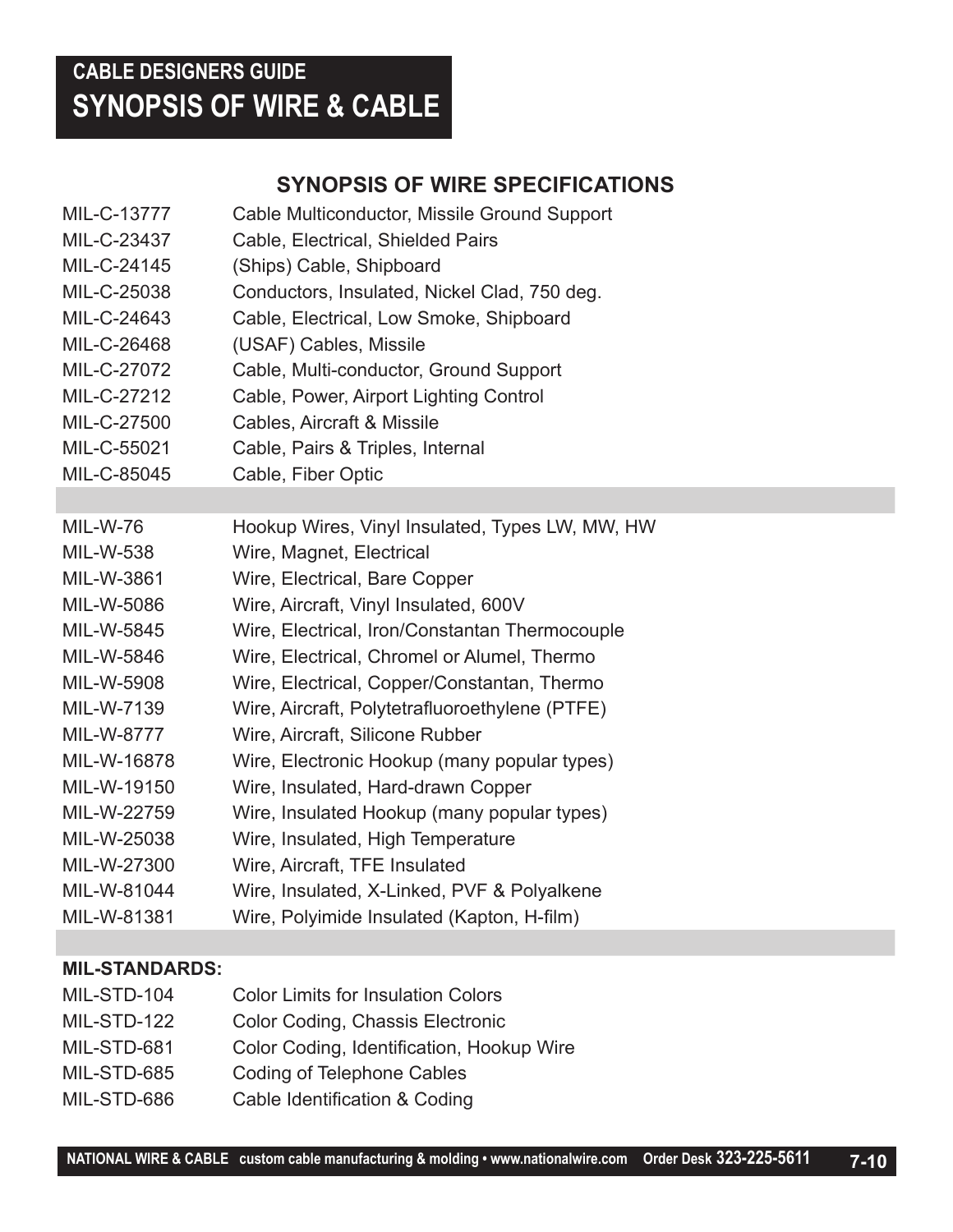## **CABLE DESIGNERS GUIDE SYNOPSIS OF WIRE & CABLE**

## **SYNOPSIS OF WIRE SPECIFICATIONS**

| MIL-C-13777     | Cable Multiconductor, Missile Ground Support    |
|-----------------|-------------------------------------------------|
| MIL-C-23437     | Cable, Electrical, Shielded Pairs               |
| MIL-C-24145     | (Ships) Cable, Shipboard                        |
| MIL-C-25038     | Conductors, Insulated, Nickel Clad, 750 deg.    |
| MIL-C-24643     | Cable, Electrical, Low Smoke, Shipboard         |
| MIL-C-26468     | (USAF) Cables, Missile                          |
| MIL-C-27072     | Cable, Multi-conductor, Ground Support          |
| MIL-C-27212     | Cable, Power, Airport Lighting Control          |
| MIL-C-27500     | Cables, Aircraft & Missile                      |
| MIL-C-55021     | Cable, Pairs & Triples, Internal                |
| MIL-C-85045     | Cable, Fiber Optic                              |
|                 |                                                 |
| <b>MIL-W-76</b> | Hookup Wires, Vinyl Insulated, Types LW, MW, HW |
| MIL-W-538       | Wire, Magnet, Electrical                        |
| MIL-W-3861      | Wire, Electrical, Bare Copper                   |
| MIL-W-5086      | Wire, Aircraft, Vinyl Insulated, 600V           |
| MIL-W-5845      | Wire, Electrical, Iron/Constantan Thermocouple  |
| MIL-W-5846      | Wire, Electrical, Chromel or Alumel, Thermo     |
| MIL-W-5908      | Wire, Electrical, Copper/Constantan, Thermo     |
| MIL-W-7139      | Wire, Aircraft, Polytetrafluoroethylene (PTFE)  |
| MIL-W-8777      | Wire, Aircraft, Silicone Rubber                 |
| MIL-W-16878     | Wire, Electronic Hookup (many popular types)    |
| MIL-W-19150     | Wire, Insulated, Hard-drawn Copper              |
| MIL-W-22759     | Wire, Insulated Hookup (many popular types)     |
| MIL-W-25038     | Wire, Insulated, High Temperature               |
| MIL-W-27300     | Wire, Aircraft, TFE Insulated                   |
| MIL-W-81044     | Wire, Insulated, X-Linked, PVF & Polyalkene     |
| MIL-W-81381     | Wire, Polyimide Insulated (Kapton, H-film)      |

### **MIL-STANDARDS:**

| MIL-STD-104 | <b>Color Limits for Insulation Colors</b> |
|-------------|-------------------------------------------|
| MIL-STD-122 | Color Coding, Chassis Electronic          |
| MIL-STD-681 | Color Coding, Identification, Hookup Wire |
| MIL-STD-685 | <b>Coding of Telephone Cables</b>         |
| MIL-STD-686 | Cable Identification & Coding             |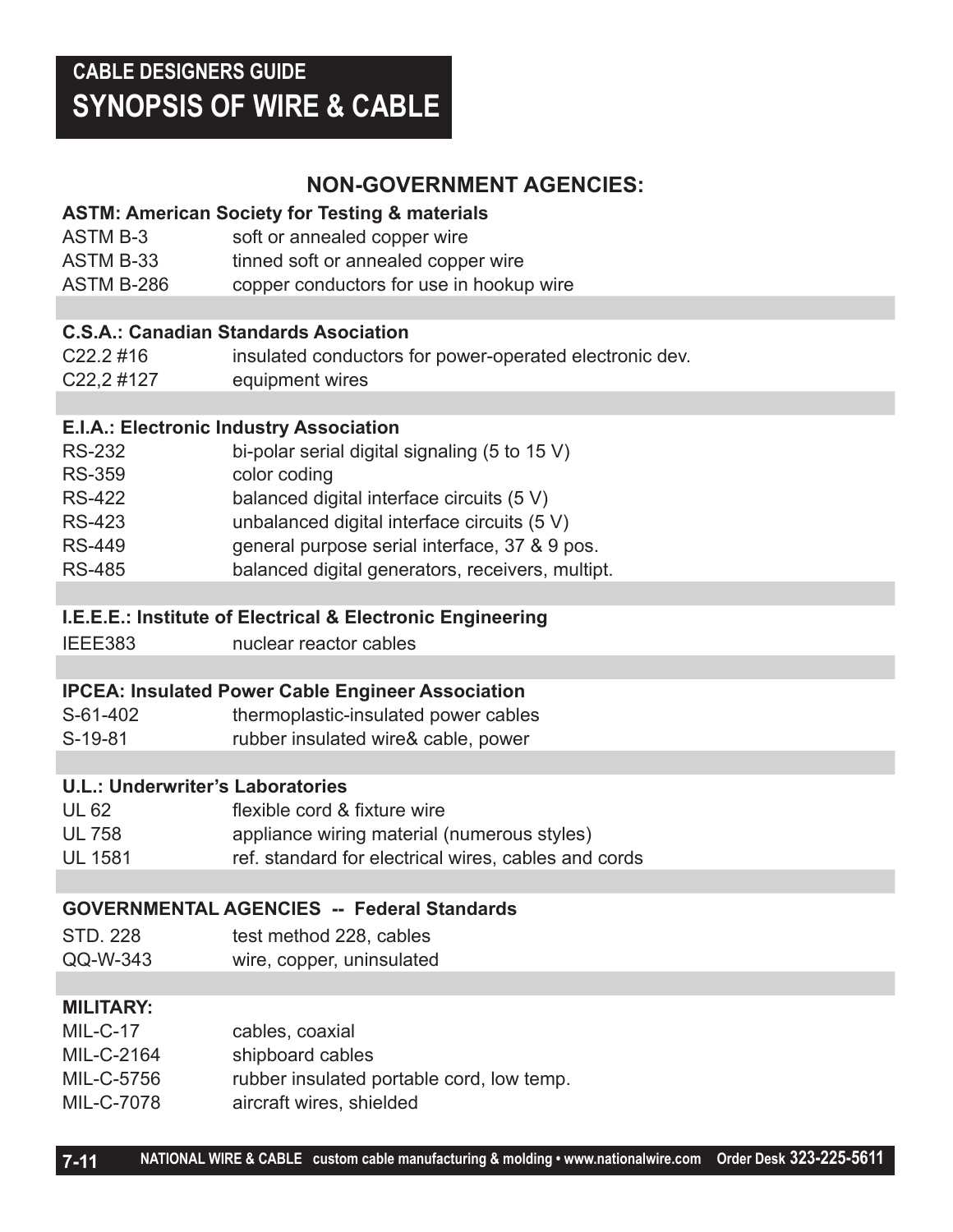## **NON-GOVERNMENT AGENCIES:**

### **ASTM: American Society for Testing & materials**

ASTM B-3 soft or annealed copper wire ASTM B-33 tinned soft or annealed copper wire ASTM B-286 copper conductors for use in hookup wire

### **C.S.A.: Canadian Standards Asociation**

| $C22.2$ #16              | insulated conductors for power-operated electronic dev. |
|--------------------------|---------------------------------------------------------|
| C <sub>22</sub> , 2 #127 | equipment wires                                         |
|                          |                                                         |

### **E.I.A.: Electronic Industry Association**

| <b>RS-232</b> | bi-polar serial digital signaling (5 to 15 V)    |
|---------------|--------------------------------------------------|
| <b>RS-359</b> | color coding                                     |
| <b>RS-422</b> | balanced digital interface circuits (5 V)        |
| <b>RS-423</b> | unbalanced digital interface circuits (5 V)      |
| <b>RS-449</b> | general purpose serial interface, 37 & 9 pos.    |
| <b>RS-485</b> | balanced digital generators, receivers, multipt. |

### **I.E.E.E.: Institute of Electrical & Electronic Engineering**

IEEE383 nuclear reactor cables

### **IPCEA: Insulated Power Cable Engineer Association**

|                                                | thermoplastic-insulated power cables |
|------------------------------------------------|--------------------------------------|
| rubber insulated wire& cable, power<br>S-19-81 |                                      |

### **U.L.: Underwriter's Laboratories**

| <b>UL 62</b>   | flexible cord & fixture wire                         |
|----------------|------------------------------------------------------|
| <b>UL 758</b>  | appliance wiring material (numerous styles)          |
| <b>UL 1581</b> | ref. standard for electrical wires, cables and cords |

### **GOVERNMENTAL AGENCIES -- Federal Standards**

| STD, 228 | test method 228, cables   |
|----------|---------------------------|
| QQ-W-343 | wire, copper, uninsulated |

### **MILITARY:**

| $MIL-C-17$ | cables, coaxial                           |
|------------|-------------------------------------------|
| MIL-C-2164 | shipboard cables                          |
| MIL-C-5756 | rubber insulated portable cord, low temp. |
| MIL-C-7078 | aircraft wires, shielded                  |
|            |                                           |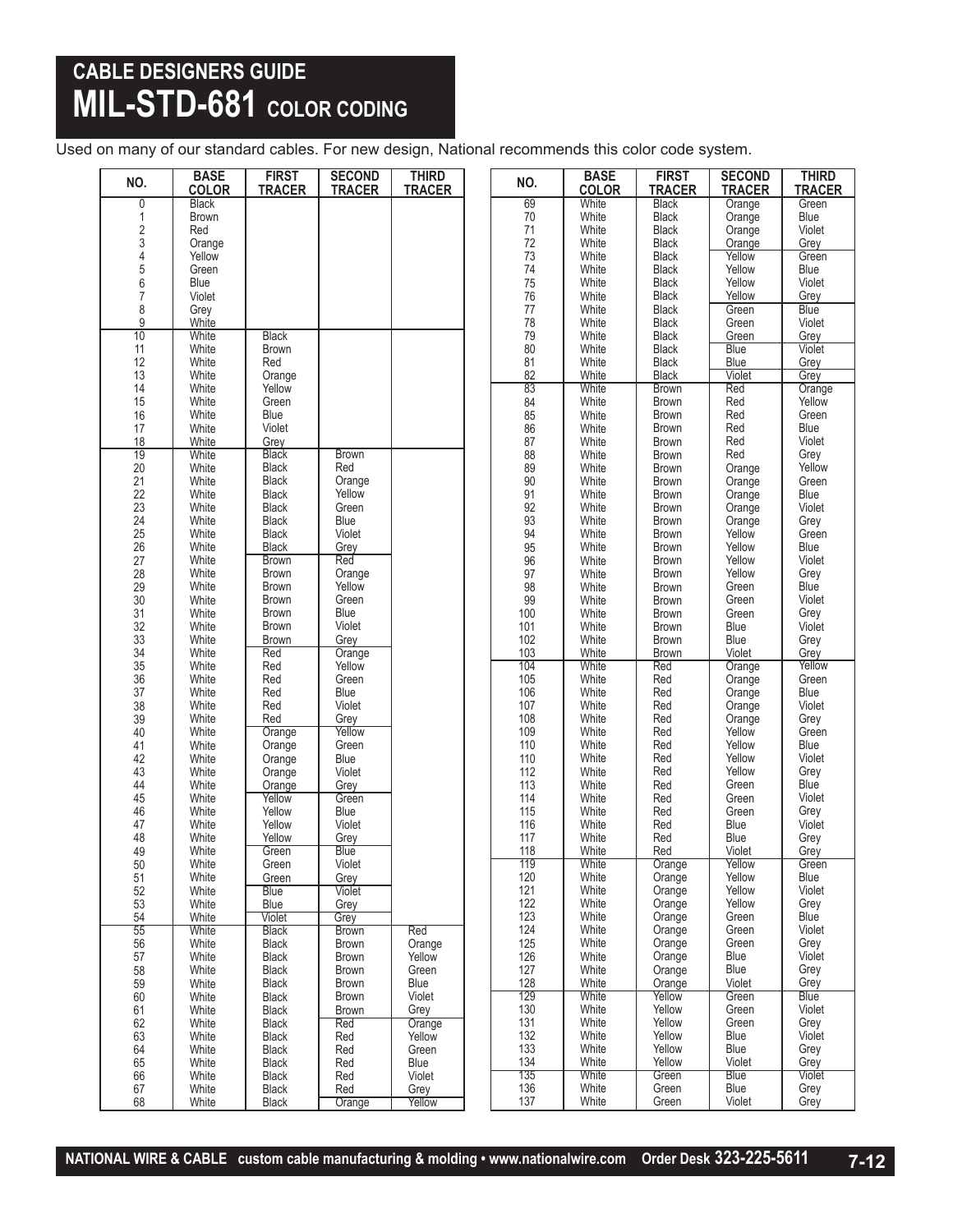## **CABLE DESIGNERS GUIDE MIL-STD-681 COLOR CODING**

Used on many of our standard cables. For new design, National recommends this color code system.

| NO.                   | <b>BASE</b><br><b>COLOR</b> | <b>FIRST</b><br><b>TRACER</b> | <b>SECOND</b><br><b>TRACER</b> | <b>THIRD</b><br><b>TRACER</b> | NO.              | <b>BASE</b><br><b>COLOR</b> | <b>FIRST</b><br><b>TRACER</b> | <b>SECOND</b><br><b>TRACER</b> | <b>THIRD</b><br><b>TRACER</b> |
|-----------------------|-----------------------------|-------------------------------|--------------------------------|-------------------------------|------------------|-----------------------------|-------------------------------|--------------------------------|-------------------------------|
| 0                     | <b>Black</b>                |                               |                                |                               | 69               | White                       | <b>Black</b>                  | Orange                         | Green                         |
| 1                     | <b>Brown</b>                |                               |                                |                               | $70\,$           | White                       | <b>Black</b>                  | Orange                         | Blue                          |
|                       | Red                         |                               |                                |                               | 71               | White                       | <b>Black</b>                  | Orange                         | Violet                        |
| 234567                | Orange                      |                               |                                |                               | 72               | White                       | <b>Black</b>                  | Orange                         | Grey                          |
|                       | Yellow                      |                               |                                |                               | 73<br>74         | White                       | <b>Black</b>                  | Yellow                         | Green                         |
|                       | Green<br>Blue               |                               |                                |                               | 75               | White                       | <b>Black</b>                  | Yellow<br>Yellow               | Blue<br>Violet                |
|                       | Violet                      |                               |                                |                               | 76               | White<br>White              | Black<br><b>Black</b>         | Yellow                         | Grey                          |
| 8                     | Grey                        |                               |                                |                               | 77               | White                       | <b>Black</b>                  | Green                          | <b>Blue</b>                   |
| $\overline{9}$        | White                       |                               |                                |                               | 78               | White                       | <b>Black</b>                  | Green                          | Violet                        |
| 10                    | White                       | <b>Black</b>                  |                                |                               | 79               | White                       | <b>Black</b>                  | Green                          | Grey                          |
| 11                    | White                       | <b>Brown</b>                  |                                |                               | 80               | White                       | <b>Black</b>                  | <b>Blue</b>                    | Violet                        |
| 12                    | White                       | Red                           |                                |                               | 81               | White                       | <b>Black</b>                  | Blue                           | Grey                          |
| 13                    | White                       | Orange                        |                                |                               | 82               | White                       | <b>Black</b>                  | Violet                         | Grey                          |
| 14                    | White                       | Yellow                        |                                |                               | 83               | White                       | <b>Brown</b>                  | Red                            | Orange                        |
| 15                    | White                       | Green                         |                                |                               | 84               | White                       | <b>Brown</b>                  | Red                            | Yellow                        |
| 16                    | White                       | Blue                          |                                |                               | 85               | White                       | <b>Brown</b>                  | Red                            | Green                         |
| 17                    | White                       | Violet                        |                                |                               | 86               | White                       | <b>Brown</b>                  | Red                            | Blue                          |
| 18                    | White                       | Grey                          |                                |                               | 87               | White                       | <b>Brown</b>                  | Red                            | Violet                        |
| $\overline{19}$<br>20 | White<br>White              | <b>Black</b><br>Black         | <b>Brown</b><br>Red            |                               | 88<br>89         | White<br>White              | <b>Brown</b><br><b>Brown</b>  | Red<br>Orange                  | Grey<br>Yellow                |
| 21                    | White                       | <b>Black</b>                  | Orange                         |                               | 90               | White                       | <b>Brown</b>                  | Orange                         | Green                         |
| 22                    | White                       | <b>Black</b>                  | Yellow                         |                               | 91               | White                       | <b>Brown</b>                  | Orange                         | Blue                          |
| 23                    | White                       | Black                         | Green                          |                               | 92               | White                       | <b>Brown</b>                  | Orange                         | Violet                        |
|                       | White                       | <b>Black</b>                  | Blue                           |                               | 93               | White                       | Brown                         | Orange                         | Grey                          |
| $\frac{24}{25}$       | White                       | <b>Black</b>                  | Violet                         |                               | 94               | White                       | Brown                         | Yellow                         | Green                         |
| 26                    | White                       | Black                         | Grey                           |                               | $\frac{95}{96}$  | White                       | <b>Brown</b>                  | Yellow                         | Blue                          |
| 27                    | White                       | <b>Brown</b>                  | Red                            |                               |                  | White                       | <b>Brown</b>                  | Yellow                         | Violet                        |
| 28                    | White                       | <b>Brown</b>                  | Orange                         |                               | 97               | White                       | <b>Brown</b>                  | Yellow                         | Grey                          |
| 29                    | White                       | <b>Brown</b>                  | Yellow                         |                               | 98               | White                       | <b>Brown</b>                  | Green                          | Blue                          |
| 30                    | White                       | <b>Brown</b>                  | Green                          |                               | $\frac{99}{100}$ | White                       | <b>Brown</b>                  | Green                          | Violet                        |
| 31                    | White                       | <b>Brown</b>                  | Blue                           |                               |                  | White                       | <b>Brown</b>                  | Green                          | Grey                          |
| 32                    | White<br>White              | <b>Brown</b>                  | Violet                         |                               | 101              | White                       | <b>Brown</b>                  | Blue                           | Violet                        |
| 33<br>$\overline{34}$ | White                       | Brown<br>Red                  | Grey                           |                               | 102<br>103       | White<br>White              | <b>Brown</b><br><b>Brown</b>  | Blue<br>Violet                 | Grey<br>Grey                  |
|                       | White                       | Red                           | Orange<br>Yellow               |                               | 104              | White                       | Red                           | Orange                         | Yellow                        |
| 35<br>36              | White                       | Red                           | Green                          |                               | 105              | White                       | Red                           | Orange                         | Green                         |
| $\overline{37}$       | White                       | Red                           | Blue                           |                               | 106              | White                       | Red                           | Orange                         | Blue                          |
| 38                    | White                       | Red                           | Violet                         |                               | 107              | White                       | Red                           | Orange                         | Violet                        |
| 39                    | White                       | Red                           | Grey                           |                               | 108              | White                       | Red                           | Orange                         | Grey                          |
| 40                    | White                       | Orange                        | Yellow                         |                               | 109              | White                       | Red                           | Yellow                         | Green                         |
| 41                    | White                       | Orange                        | Green                          |                               | 110              | White                       | Red                           | Yellow                         | Blue                          |
| 42                    | White                       | Orange                        | Blue                           |                               | 110              | White                       | Red                           | Yellow                         | Violet                        |
| 43                    | White                       | Orange                        | Violet                         |                               | 112              | White                       | Red                           | Yellow                         | Grey                          |
| 44                    | White                       | Orange                        | Grey                           |                               | 113              | White                       | Red                           | Green                          | Blue<br>Violet                |
| 45<br>46              | White<br>White              | Yellow<br>Yellow              | Green                          |                               | 114<br>115       | White<br>White              | Red<br>Red                    | Green<br>Green                 |                               |
| 47                    | White                       | Yellow                        | Blue<br>Violet                 |                               | 116              | White                       | Red                           | Blue                           | Grey<br>Violet                |
| 48                    | White                       | Yellow                        | Grey                           |                               | 117              | White                       | Red                           | Blue                           | Grey                          |
| 49                    | White                       | Green                         | <b>Blue</b>                    |                               | 118              | White                       | Red                           | Violet                         | Grey                          |
| 50                    | White                       | Green                         | Violet                         |                               | 119              | White                       | Orange                        | Yellow                         | Green                         |
| 51                    | White                       | Green                         | Grey                           |                               | 120              | White                       | Orange                        | Yellow                         | Blue                          |
| 52                    | White                       | <b>Blue</b>                   | Violet                         |                               | 121              | White                       | Orange                        | Yellow                         | Violet                        |
| 53                    | White                       | Blue                          | Grey                           |                               | 122              | White                       | Orange                        | Yellow                         | Grey                          |
| 54                    | White                       | Violet                        | Grey                           |                               | 123              | White                       | Orange                        | Green                          | Blue                          |
| 55                    | White                       | <b>Black</b>                  | <b>Brown</b>                   | Red                           | 124              | White                       | Orange                        | Green                          | Violet                        |
| 56                    | White                       | <b>Black</b>                  | <b>Brown</b>                   | Orange                        | 125<br>126       | White<br>White              | Orange                        | Green<br>Blue                  | Grey<br>Violet                |
| 57<br>58              | White<br>White              | Black<br><b>Black</b>         | Brown<br><b>Brown</b>          | Yellow<br>Green               | 127              | White                       | Orange<br>Orange              | Blue                           | Grey                          |
| 59                    | White                       | <b>Black</b>                  | <b>Brown</b>                   | Blue                          | 128              | White                       | Orange                        | Violet                         | Grey                          |
| 60                    | White                       | Black                         | <b>Brown</b>                   | Violet                        | 129              | White                       | Yellow                        | Green                          | <b>Blue</b>                   |
| 61                    | White                       | <b>Black</b>                  | <b>Brown</b>                   | Grey                          | 130              | White                       | Yellow                        | Green                          | Violet                        |
| 62                    | White                       | <b>Black</b>                  | Red                            | Orange                        | 131              | White                       | Yellow                        | Green                          | Grey                          |
| 63                    | White                       | Black                         | Red                            | Yellow                        | 132              | White                       | Yellow                        | Blue                           | Violet                        |
| 64                    | White                       | <b>Black</b>                  | Red                            | Green                         | 133              | White                       | Yellow                        | Blue                           | Grey                          |
| 65                    | White                       | <b>Black</b>                  | Red                            | Blue                          | 134              | White                       | Yellow                        | Violet                         | Grey                          |
| 66                    | White                       | Black                         | Red                            | Violet                        | 135              | White                       | Green                         | <b>Blue</b>                    | Violet                        |
| 67                    | White                       | <b>Black</b>                  | Red                            | Grey                          | 136              | White                       | Green                         | Blue                           | Grey                          |
| 68                    | White                       | Black                         | Orange                         | Yellow                        | 137              | White                       | Green                         | Violet                         | Grey                          |

**NATIONAL WIRE & CABLE custom cable manufacturing & molding • www.nationalwire.com Order Desk 323-225-5611 7-12**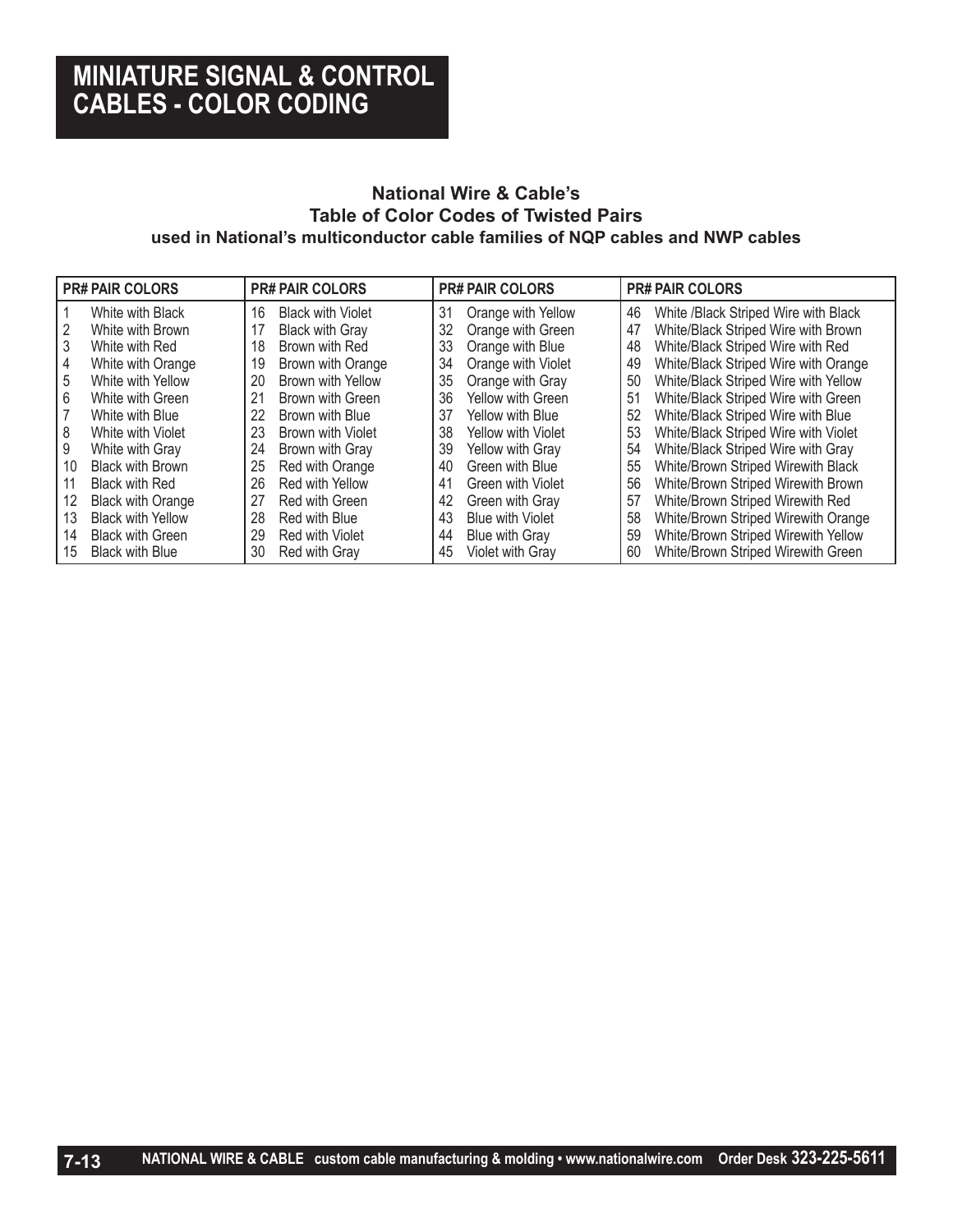## **MINIATURE SIGNAL & CONTROL CABLES - COLOR CODING**

### **National Wire & Cable's Table of Color Codes of Twisted Pairs used in National's multiconductor cable families of NQP cables and NWP cables**

|    | <b>PR# PAIR COLORS</b>   |    | <b>PR# PAIR COLORS</b>   |    | <b>PR# PAIR COLORS</b>  |    | <b>PR# PAIR COLORS</b>               |
|----|--------------------------|----|--------------------------|----|-------------------------|----|--------------------------------------|
|    | White with Black         | 16 | <b>Black with Violet</b> | 31 | Orange with Yellow      | 46 | White /Black Striped Wire with Black |
|    | White with Brown         | 17 | <b>Black with Gray</b>   | 32 | Orange with Green       | 47 | White/Black Striped Wire with Brown  |
|    | White with Red           | 18 | Brown with Red           | 33 | Orange with Blue        | 48 | White/Black Striped Wire with Red    |
| 4  | White with Orange        | 19 | Brown with Orange        | 34 | Orange with Violet      | 49 | White/Black Striped Wire with Orange |
| 5  | White with Yellow        | 20 | Brown with Yellow        | 35 | Orange with Gray        | 50 | White/Black Striped Wire with Yellow |
| 6  | White with Green         | 21 | Brown with Green         | 36 | Yellow with Green       | 51 | White/Black Striped Wire with Green  |
|    | White with Blue          | 22 | Brown with Blue          | 37 | Yellow with Blue        | 52 | White/Black Striped Wire with Blue   |
| 8  | White with Violet        | 23 | Brown with Violet        | 38 | Yellow with Violet      | 53 | White/Black Striped Wire with Violet |
| 9  | White with Gray          | 24 | Brown with Gray          | 39 | Yellow with Gray        | 54 | White/Black Striped Wire with Gray   |
| 10 | <b>Black with Brown</b>  | 25 | Red with Orange          | 40 | Green with Blue         | 55 | White/Brown Striped Wirewith Black   |
|    | <b>Black with Red</b>    | 26 | Red with Yellow          | 41 | Green with Violet       | 56 | White/Brown Striped Wirewith Brown   |
| 12 | <b>Black with Orange</b> | 27 | Red with Green           | 42 | Green with Gray         | 57 | White/Brown Striped Wirewith Red     |
| 13 | <b>Black with Yellow</b> | 28 | Red with Blue            | 43 | <b>Blue with Violet</b> | 58 | White/Brown Striped Wirewith Orange  |
| 14 | <b>Black with Green</b>  | 29 | Red with Violet          | 44 | Blue with Gray          | 59 | White/Brown Striped Wirewith Yellow  |
| 15 | <b>Black with Blue</b>   | 30 | Red with Gray            | 45 | Violet with Gray        | 60 | White/Brown Striped Wirewith Green   |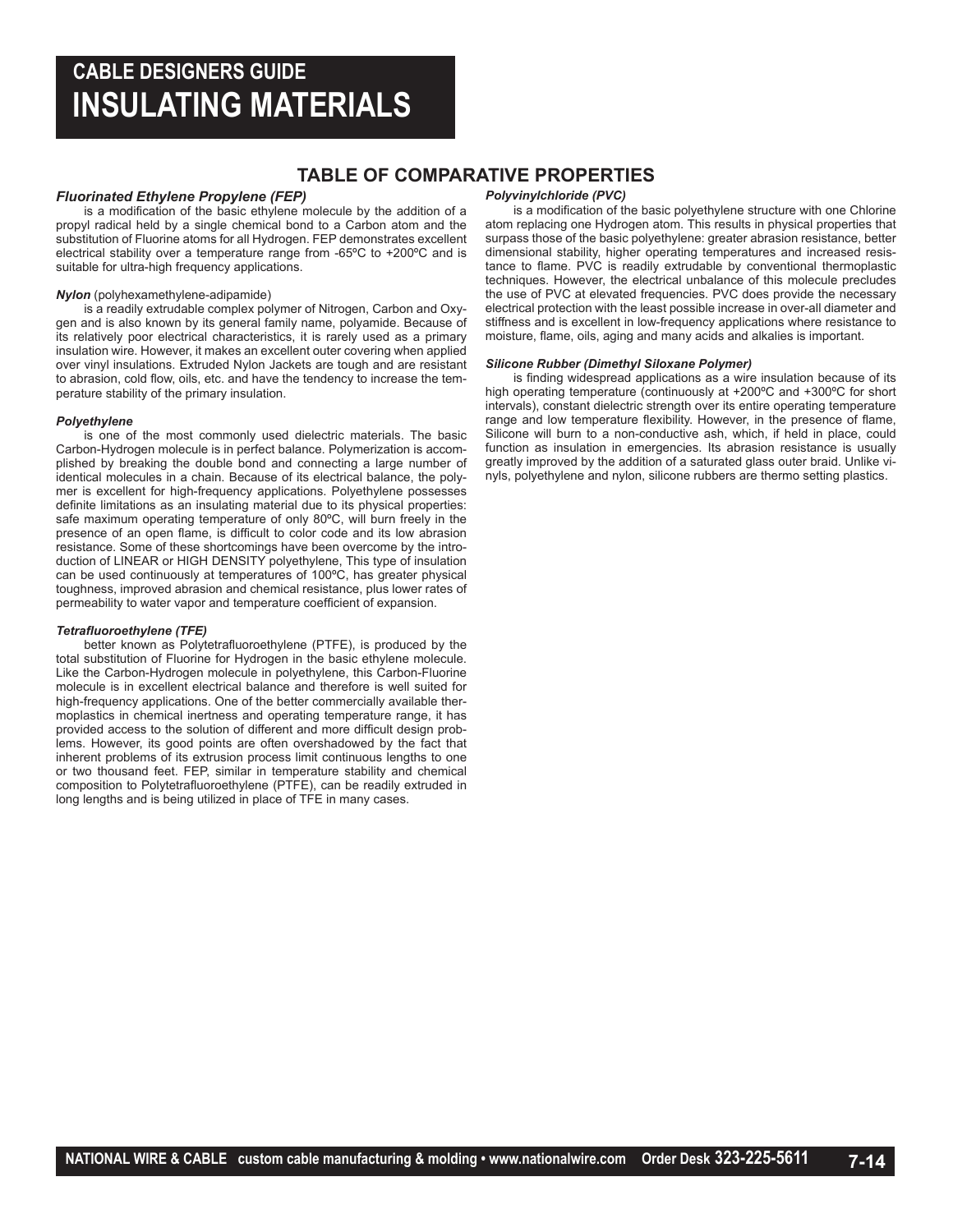## **CABLE DESIGNERS GUIDE INSULATING MATERIALS**

### **TABLE OF COMPARATIVE PROPERTIES**

#### *Fluorinated Ethylene Propylene (FEP)*

is a modification of the basic ethylene molecule by the addition of a propyl radical held by a single chemical bond to a Carbon atom and the substitution of Fluorine atoms for all Hydrogen. FEP demonstrates excellent electrical stability over a temperature range from -65ºC to +200ºC and is suitable for ultra-high frequency applications.

#### *Nylon* (polyhexamethylene-adipamide)

is a readily extrudable complex polymer of Nitrogen, Carbon and Oxygen and is also known by its general family name, polyamide. Because of its relatively poor electrical characteristics, it is rarely used as a primary insulation wire. However, it makes an excellent outer covering when applied over vinyl insulations. Extruded Nylon Jackets are tough and are resistant to abrasion, cold flow, oils, etc. and have the tendency to increase the temperature stability of the primary insulation.

#### *Polyethylene*

is one of the most commonly used dielectric materials. The basic Carbon-Hydrogen molecule is in perfect balance. Polymerization is accomplished by breaking the double bond and connecting a large number of identical molecules in a chain. Because of its electrical balance, the polymer is excellent for high-frequency applications. Polyethylene possesses definite limitations as an insulating material due to its physical properties: safe maximum operating temperature of only 80ºC, will burn freely in the presence of an open flame, is difficult to color code and its low abrasion resistance. Some of these shortcomings have been overcome by the introduction of LINEAR or HIGH DENSITY polyethylene, This type of insulation can be used continuously at temperatures of 100ºC, has greater physical toughness, improved abrasion and chemical resistance, plus lower rates of permeability to water vapor and temperature coefficient of expansion.

#### *Tetrafluoroethylene (TFE)*

better known as Polytetrafluoroethylene (PTFE), is produced by the total substitution of Fluorine for Hydrogen in the basic ethylene molecule. Like the Carbon-Hydrogen molecule in polyethylene, this Carbon-Fluorine molecule is in excellent electrical balance and therefore is well suited for high-frequency applications. One of the better commercially available thermoplastics in chemical inertness and operating temperature range, it has provided access to the solution of different and more difficult design problems. However, its good points are often overshadowed by the fact that inherent problems of its extrusion process limit continuous lengths to one or two thousand feet. FEP, similar in temperature stability and chemical composition to Polytetrafluoroethylene (PTFE), can be readily extruded in long lengths and is being utilized in place of TFE in many cases.

#### *Polyvinylchloride (PVC)*

is a modification of the basic polyethylene structure with one Chlorine atom replacing one Hydrogen atom. This results in physical properties that surpass those of the basic polyethylene: greater abrasion resistance, better dimensional stability, higher operating temperatures and increased resistance to flame. PVC is readily extrudable by conventional thermoplastic techniques. However, the electrical unbalance of this molecule precludes the use of PVC at elevated frequencies. PVC does provide the necessary electrical protection with the least possible increase in over-all diameter and stiffness and is excellent in low-frequency applications where resistance to moisture, flame, oils, aging and many acids and alkalies is important.

#### *Silicone Rubber (Dimethyl Siloxane Polymer)*

is finding widespread applications as a wire insulation because of its high operating temperature (continuously at +200ºC and +300ºC for short intervals), constant dielectric strength over its entire operating temperature range and low temperature flexibility. However, in the presence of flame, Silicone will burn to a non-conductive ash, which, if held in place, could function as insulation in emergencies. Its abrasion resistance is usually greatly improved by the addition of a saturated glass outer braid. Unlike vinyls, polyethylene and nylon, silicone rubbers are thermo setting plastics.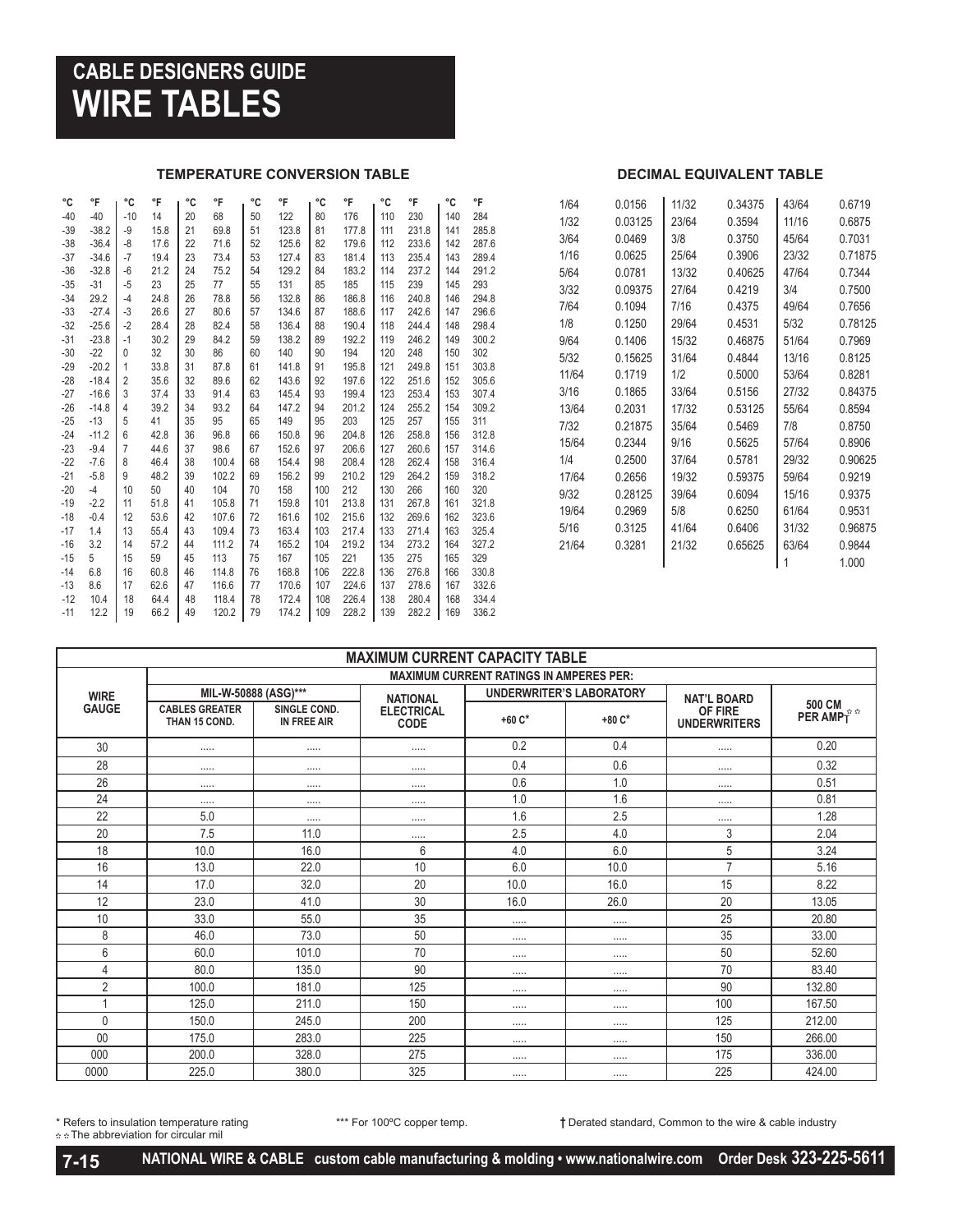## **CABLE DESIGNERS GUIDE WIRE TABLES**

#### **TEMPERATURE CONVERSION TABLE DECIMAL EQUIVALENT TABLE**

| °C    | °F      | °C             | °F   | °C | °F    | °C | °F    | °C  | °F    | °C  | °F    | °C  | °F    |
|-------|---------|----------------|------|----|-------|----|-------|-----|-------|-----|-------|-----|-------|
| $-40$ | $-40$   | $-10$          | 14   | 20 | 68    | 50 | 122   | 80  | 176   | 110 | 230   | 140 | 284   |
| $-39$ | $-38.2$ | $-9$           | 15.8 | 21 | 69.8  | 51 | 123.8 | 81  | 177.8 | 111 | 231.8 | 141 | 285.8 |
| $-38$ | $-36.4$ | $-8$           | 17.6 | 22 | 71.6  | 52 | 125.6 | 82  | 179.6 | 112 | 233.6 | 142 | 287.6 |
| $-37$ | $-34.6$ | $-7$           | 19.4 | 23 | 73.4  | 53 | 127.4 | 83  | 181.4 | 113 | 235.4 | 143 | 289.4 |
| $-36$ | $-32.8$ | $-6$           | 21.2 | 24 | 75.2  | 54 | 129.2 | 84  | 183.2 | 114 | 237.2 | 144 | 291.2 |
| $-35$ | $-31$   | $-5$           | 23   | 25 | 77    | 55 | 131   | 85  | 185   | 115 | 239   | 145 | 293   |
| $-34$ | 29.2    | $-4$           | 24.8 | 26 | 78.8  | 56 | 132.8 | 86  | 186.8 | 116 | 240.8 | 146 | 294.8 |
| $-33$ | $-27.4$ | $-3$           | 26.6 | 27 | 80.6  | 57 | 134.6 | 87  | 188.6 | 117 | 242.6 | 147 | 296.6 |
| $-32$ | $-25.6$ | $-2$           | 28.4 | 28 | 82.4  | 58 | 136.4 | 88  | 190.4 | 118 | 244.4 | 148 | 298.4 |
| $-31$ | $-23.8$ | $-1$           | 30.2 | 29 | 84.2  | 59 | 138.2 | 89  | 192.2 | 119 | 246.2 | 149 | 300.2 |
| $-30$ | $-22$   | $\mathbf{0}$   | 32   | 30 | 86    | 60 | 140   | 90  | 194   | 120 | 248   | 150 | 302   |
| $-29$ | $-20.2$ | 1              | 33.8 | 31 | 87.8  | 61 | 141.8 | 91  | 195.8 | 121 | 249.8 | 151 | 303.8 |
| $-28$ | $-18.4$ | $\overline{2}$ | 35.6 | 32 | 89.6  | 62 | 143.6 | 92  | 197.6 | 122 | 251.6 | 152 | 305.6 |
| $-27$ | $-16.6$ | 3              | 37.4 | 33 | 91.4  | 63 | 145.4 | 93  | 199.4 | 123 | 253.4 | 153 | 307.4 |
| $-26$ | $-14.8$ | 4              | 39.2 | 34 | 93.2  | 64 | 147.2 | 94  | 201.2 | 124 | 255.2 | 154 | 309.2 |
| $-25$ | $-13$   | 5              | 41   | 35 | 95    | 65 | 149   | 95  | 203   | 125 | 257   | 155 | 311   |
| $-24$ | $-11.2$ | 6              | 42.8 | 36 | 96.8  | 66 | 150.8 | 96  | 204.8 | 126 | 258.8 | 156 | 312.8 |
| $-23$ | $-9.4$  | 7              | 44.6 | 37 | 98.6  | 67 | 152.6 | 97  | 206.6 | 127 | 260.6 | 157 | 314.6 |
| $-22$ | $-7.6$  | 8              | 46.4 | 38 | 100.4 | 68 | 154.4 | 98  | 208.4 | 128 | 262.4 | 158 | 316.4 |
| $-21$ | $-5.8$  | 9              | 48.2 | 39 | 102.2 | 69 | 156.2 | 99  | 210.2 | 129 | 264.2 | 159 | 318.2 |
| -20   | $-4$    | 10             | 50   | 40 | 104   | 70 | 158   | 100 | 212   | 130 | 266   | 160 | 320   |
| -19   | $-2.2$  | 11             | 51.8 | 41 | 105.8 | 71 | 159.8 | 101 | 213.8 | 131 | 267.8 | 161 | 321.8 |
| -18   | $-0.4$  | 12             | 53.6 | 42 | 107.6 | 72 | 161.6 | 102 | 215.6 | 132 | 269.6 | 162 | 323.6 |
| -17   | 1.4     | 13             | 55.4 | 43 | 109.4 | 73 | 163.4 | 103 | 217.4 | 133 | 271.4 | 163 | 325.4 |
| -16   | 3.2     | 14             | 57.2 | 44 | 111.2 | 74 | 165.2 | 104 | 219.2 | 134 | 273.2 | 164 | 327.2 |
| -15   | 5       | 15             | 59   | 45 | 113   | 75 | 167   | 105 | 221   | 135 | 275   | 165 | 329   |
| -14   | 6.8     | 16             | 60.8 | 46 | 114.8 | 76 | 168.8 | 106 | 222.8 | 136 | 276.8 | 166 | 330.8 |
| -13   | 8.6     | 17             | 62.6 | 47 | 116.6 | 77 | 170.6 | 107 | 224.6 | 137 | 278.6 | 167 | 332.6 |
| $-12$ | 10.4    | 18             | 64.4 | 48 | 118.4 | 78 | 172.4 | 108 | 226.4 | 138 | 280.4 | 168 | 334.4 |
| $-11$ | 12.2    | 19             | 66.2 | 49 | 120.2 | 79 | 174.2 | 109 | 228.2 | 139 | 282.2 | 169 | 336.2 |
|       |         |                |      |    |       |    |       |     |       |     |       |     |       |

| 1/64  | 0.0156  | 11/32 | 0.34375 | 43/64 | 0.6719  |
|-------|---------|-------|---------|-------|---------|
| 1/32  | 0.03125 | 23/64 | 0.3594  | 11/16 | 0.6875  |
| 3/64  | 0.0469  | 3/8   | 0.3750  | 45/64 | 0.7031  |
| 1/16  | 0.0625  | 25/64 | 0.3906  | 23/32 | 0 71875 |
| 5/64  | 0.0781  | 13/32 | 0.40625 | 47/64 | 0.7344  |
| 3/32  | 0.09375 | 27/64 | 0.4219  | 3/4   | 0.7500  |
| 7/64  | 0.1094  | 7/16  | 04375   | 49/64 | 0.7656  |
| 1/8   | 0.1250  | 29/64 | 0.4531  | 5/32  | 0.78125 |
| 9/64  | 0.1406  | 15/32 | 0.46875 | 51/64 | 0.7969  |
| 5/32  | 0.15625 | 31/64 | 0.4844  | 13/16 | 0.8125  |
| 11/64 | 0.1719  | 1/2   | 0.5000  | 53/64 | 0.8281  |
| 3/16  | 0.1865  | 33/64 | 0.5156  | 27/32 | 084375  |
| 13/64 | 0.2031  | 17/32 | 0.53125 | 55/64 | 0.8594  |
| 7/32  | 0.21875 | 35/64 | 0.5469  | 7/8   | 0.8750  |
| 15/64 | 0.2344  | 9/16  | 0.5625  | 57/64 | 0.8906  |
| 1/4   | 0.2500  | 37/64 | 0.5781  | 29/32 | 0.90625 |
| 17/64 | 0.2656  | 19/32 | 0.59375 | 59/64 | 0.9219  |
| 9/32  | 0.28125 | 39/64 | 0.6094  | 15/16 | 0.9375  |
| 19/64 | 0.2969  | 5/8   | 0.6250  | 61/64 | 0.9531  |
| 5/16  | 0.3125  | 41/64 | 0.6406  | 31/32 | 0.96875 |
| 21/64 | 0.3281  | 21/32 | 0.65625 | 63/64 | 0.9844  |
|       |         |       |         | 1     | 1.000   |
|       |         |       |         |       |         |

| <b>MAXIMUM CURRENT CAPACITY TABLE</b> |                                        |                                    |                                  |                                                |                                 |                                |                    |  |  |  |  |
|---------------------------------------|----------------------------------------|------------------------------------|----------------------------------|------------------------------------------------|---------------------------------|--------------------------------|--------------------|--|--|--|--|
|                                       |                                        |                                    |                                  | <b>MAXIMUM CURRENT RATINGS IN AMPERES PER:</b> |                                 |                                |                    |  |  |  |  |
| <b>WIRE</b>                           | MIL-W-50888 (ASG)***                   |                                    | <b>NATIONAL</b>                  |                                                | <b>UNDERWRITER'S LABORATORY</b> | <b>NAT'L BOARD</b>             |                    |  |  |  |  |
| <b>GAUGE</b>                          | <b>CABLES GREATER</b><br>THAN 15 COND. | SINGLE COND.<br><b>IN FREE AIR</b> | <b>ELECTRICAL</b><br><b>CODE</b> | $+60C*$                                        | $+80C*$                         | OF FIRE<br><b>UNDERWRITERS</b> | 500 CM<br>PER AMPT |  |  |  |  |
| 30                                    |                                        | .                                  |                                  | 0.2                                            | 0.4                             |                                | 0.20               |  |  |  |  |
| 28                                    |                                        | .                                  |                                  | 0.4                                            | 0.6                             |                                | 0.32               |  |  |  |  |
| 26                                    |                                        |                                    |                                  | 0.6                                            | 1.0                             |                                | 0.51               |  |  |  |  |
| 24                                    |                                        |                                    |                                  | 1.0                                            | 1.6                             |                                | 0.81               |  |  |  |  |
| 22                                    | 5.0                                    |                                    |                                  | 1.6                                            | 2.5                             |                                | 1.28               |  |  |  |  |
| 20                                    | 7.5                                    | 11.0                               |                                  | 2.5                                            | 4.0                             | 3                              | 2.04               |  |  |  |  |
| 18                                    | 10.0                                   | 16.0                               | 6                                | 4.0                                            | 6.0                             | 5                              | 3.24               |  |  |  |  |
| 16                                    | 13.0                                   | 22.0                               | 10                               | 6.0                                            | 10.0                            | $\overline{7}$                 | 5.16               |  |  |  |  |
| 14                                    | 17.0                                   | 32.0                               | 20                               | 10.0                                           | 16.0                            | 15                             | 8.22               |  |  |  |  |
| 12                                    | 23.0                                   | 41.0                               | 30                               | 16.0                                           | 26.0                            | 20                             | 13.05              |  |  |  |  |
| 10                                    | 33.0                                   | 55.0                               | 35                               |                                                |                                 | 25                             | 20.80              |  |  |  |  |
| 8                                     | 46.0                                   | 73.0                               | 50                               |                                                |                                 | 35                             | 33.00              |  |  |  |  |
| 6                                     | 60.0                                   | 101.0                              | 70                               |                                                |                                 | 50                             | 52.60              |  |  |  |  |
| $\overline{4}$                        | 80.0                                   | 135.0                              | 90                               |                                                |                                 | 70                             | 83.40              |  |  |  |  |
| $\overline{2}$                        | 100.0                                  | 181.0                              | 125                              |                                                |                                 | 90                             | 132.80             |  |  |  |  |
| $\mathbf{1}$                          | 125.0                                  | 211.0                              | 150                              |                                                |                                 | 100                            | 167.50             |  |  |  |  |
| 0                                     | 150.0                                  | 245.0                              | 200                              |                                                |                                 | 125                            | 212.00             |  |  |  |  |
| 00                                    | 175.0                                  | 283.0                              | 225                              |                                                |                                 | 150                            | 266.00             |  |  |  |  |
| 000                                   | 200.0                                  | 328.0                              | 275                              |                                                |                                 | 175                            | 336.00             |  |  |  |  |
| 0000                                  | 225.0                                  | 380.0                              | 325                              |                                                |                                 | 225                            | 424.00             |  |  |  |  |

The abbreviation for circular mil

\* Refers to insulation temperature rating \*\*\* For 100ºC copper temp. **†** Derated standard, Common to the wire & cable industry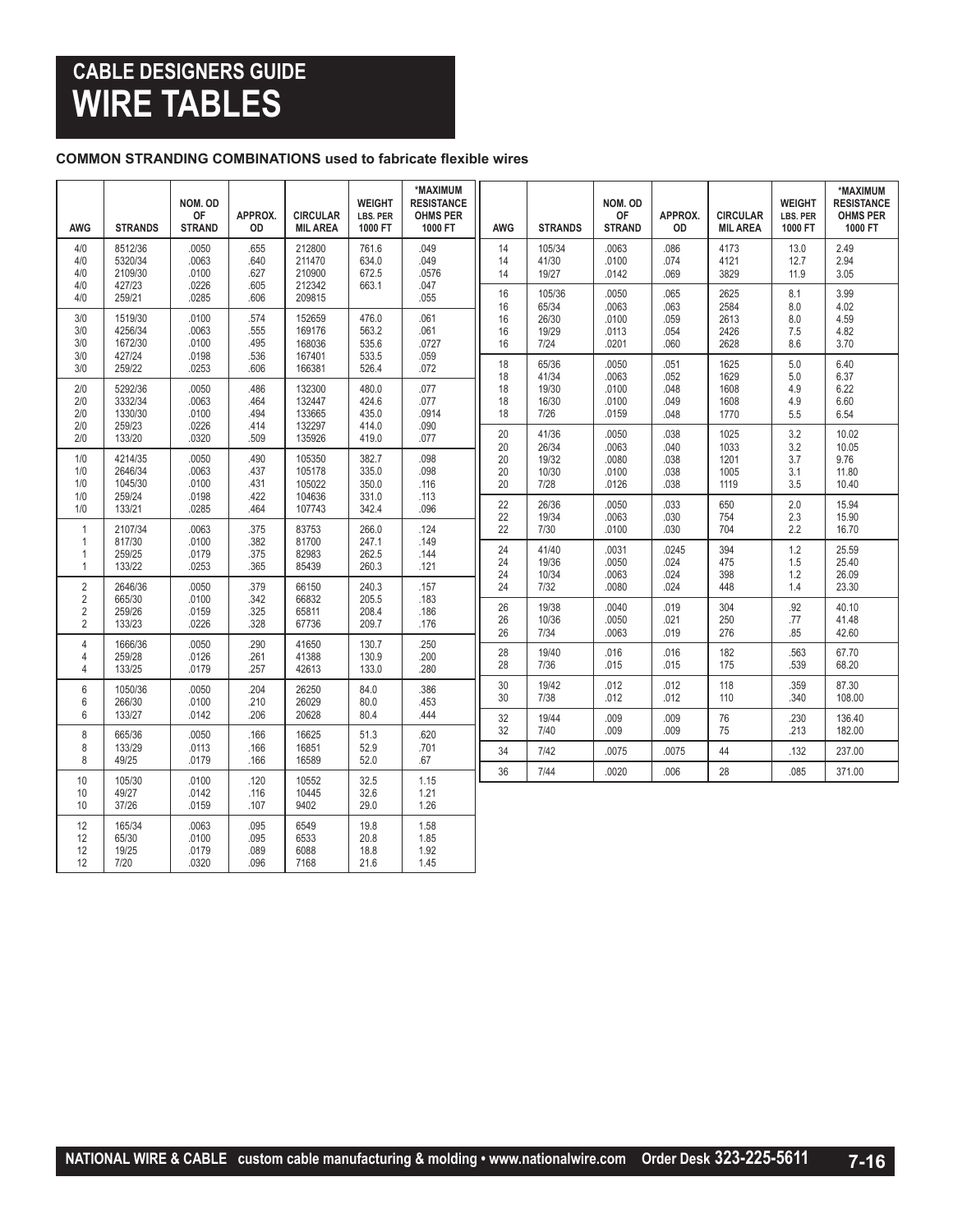## **CABLE DESIGNERS GUIDE WIRE TABLES**

#### **COMMON STRANDING COMBINATIONS used to fabricate flexible wires**

| <b>AWG</b>                                                           | <b>STRANDS</b>                          | NOM. OD<br><b>OF</b><br><b>STRAND</b> | APPROX.<br>OD                | <b>CIRCULAR</b><br><b>MIL AREA</b>   | <b>WEIGHT</b><br>LBS. PER<br>1000 FT | *MAXIMUM<br><b>RESISTANCE</b><br><b>OHMS PER</b><br>1000 FT | <b>AWG</b>           | <b>STRANDS</b>                    | NOM. OD<br><b>OF</b><br><b>STRAND</b> | APPROX.<br>OD                | <b>CIRCULAR</b><br><b>MIL AREA</b> | <b>WEIGHT</b><br><b>LBS. PER</b><br>1000 FT | *MAXIMUM<br><b>RESISTANCE</b><br><b>OHMS PER</b><br>1000 FT |
|----------------------------------------------------------------------|-----------------------------------------|---------------------------------------|------------------------------|--------------------------------------|--------------------------------------|-------------------------------------------------------------|----------------------|-----------------------------------|---------------------------------------|------------------------------|------------------------------------|---------------------------------------------|-------------------------------------------------------------|
| 4/0<br>4/0<br>4/0<br>4/0                                             | 8512/36<br>5320/34<br>2109/30<br>427/23 | .0050<br>.0063<br>.0100<br>.0226      | .655<br>.640<br>.627<br>.605 | 212800<br>211470<br>210900<br>212342 | 761.6<br>634.0<br>672.5<br>663.1     | .049<br>.049<br>.0576<br>.047                               | 14<br>14<br>14       | 105/34<br>41/30<br>19/27          | .0063<br>.0100<br>.0142               | .086<br>.074<br>.069         | 4173<br>4121<br>3829               | 13.0<br>12.7<br>11.9                        | 2.49<br>2.94<br>3.05                                        |
| 4/0<br>3/0<br>3/0                                                    | 259/21<br>1519/30<br>4256/34            | .0285<br>.0100<br>.0063               | .606<br>.574<br>.555         | 209815<br>152659<br>169176           | 476.0<br>563.2                       | .055<br>.061<br>.061                                        | 16<br>16<br>16<br>16 | 105/36<br>65/34<br>26/30<br>19/29 | .0050<br>.0063<br>.0100<br>.0113      | .065<br>.063<br>.059<br>.054 | 2625<br>2584<br>2613<br>2426       | 8.1<br>8.0<br>8.0<br>7.5                    | 3.99<br>4.02<br>4.59<br>4.82                                |
| 3/0<br>3/0<br>3/0                                                    | 1672/30<br>427/24<br>259/22             | .0100<br>.0198<br>.0253               | .495<br>.536<br>.606         | 168036<br>167401<br>166381           | 535.6<br>533.5<br>526.4              | .0727<br>.059<br>.072                                       | 16<br>18<br>18       | 7/24<br>65/36<br>41/34            | .0201<br>.0050<br>.0063               | .060<br>.051<br>.052         | 2628<br>1625<br>1629               | 8.6<br>5.0<br>5.0                           | 3.70<br>6.40<br>6.37                                        |
| 2/0<br>2/0<br>2/0                                                    | 5292/36<br>3332/34<br>1330/30           | .0050<br>.0063<br>.0100               | .486<br>.464<br>.494         | 132300<br>132447<br>133665           | 480.0<br>424.6<br>435.0              | .077<br>.077<br>.0914                                       | 18<br>18<br>18       | 19/30<br>16/30<br>7/26            | .0100<br>.0100<br>.0159               | .048<br>.049<br>.048         | 1608<br>1608<br>1770               | 4.9<br>4.9<br>5.5                           | 6.22<br>6.60<br>6.54                                        |
| 2/0<br>2/0<br>1/0                                                    | 259/23<br>133/20<br>4214/35             | .0226<br>.0320<br>.0050               | .414<br>.509<br>.490         | 132297<br>135926<br>105350           | 414.0<br>419.0<br>382.7              | .090<br>.077<br>.098                                        | 20<br>20<br>20       | 41/36<br>26/34<br>19/32           | .0050<br>.0063<br>.0080               | .038<br>.040<br>.038         | 1025<br>1033<br>1201               | 3.2<br>3.2<br>3.7                           | 10.02<br>10.05<br>9.76                                      |
| 1/0<br>1/0<br>1/0                                                    | 2646/34<br>1045/30<br>259/24            | .0063<br>.0100<br>.0198               | .437<br>.431<br>.422         | 105178<br>105022<br>104636           | 335.0<br>350.0<br>331.0              | .098<br>.116<br>.113                                        | 20<br>20<br>22       | 10/30<br>7/28<br>26/36            | .0100<br>.0126<br>.0050               | .038<br>.038<br>.033         | 1005<br>1119<br>650                | 3.1<br>3.5<br>2.0                           | 11.80<br>10.40<br>15.94                                     |
| 1/0<br>$\mathbf{1}$<br>$\mathbf{1}$                                  | 133/21<br>2107/34<br>817/30             | .0285<br>.0063<br>.0100               | .464<br>.375<br>.382         | 107743<br>83753<br>81700             | 342.4<br>266.0<br>247.1              | .096<br>.124<br>.149                                        | 22<br>22             | 19/34<br>7/30                     | .0063<br>.0100                        | .030<br>.030                 | 754<br>704                         | 2.3<br>2.2                                  | 15.90<br>16.70                                              |
| $\overline{1}$<br>$\overline{1}$                                     | 259/25<br>133/22                        | .0179<br>.0253                        | .375<br>.365                 | 82983<br>85439                       | 262.5<br>260.3                       | .144<br>.121                                                | 24<br>24<br>24       | 41/40<br>19/36<br>10/34           | .0031<br>.0050<br>.0063               | .0245<br>.024<br>.024        | 394<br>475<br>398                  | 1.2<br>1.5<br>1.2                           | 25.59<br>25.40<br>26.09                                     |
| $\overline{2}$<br>$\overline{2}$<br>$\overline{2}$<br>$\overline{2}$ | 2646/36<br>665/30<br>259/26<br>133/23   | .0050<br>.0100<br>.0159<br>.0226      | .379<br>.342<br>.325<br>.328 | 66150<br>66832<br>65811<br>67736     | 240.3<br>205.5<br>208.4<br>209.7     | .157<br>.183<br>.186<br>.176                                | 24<br>26<br>26<br>26 | 7/32<br>19/38<br>10/36<br>7/34    | .0080<br>.0040<br>.0050<br>.0063      | .024<br>.019<br>.021<br>.019 | 448<br>304<br>250<br>276           | 1.4<br>.92<br>.77<br>.85                    | 23.30<br>40.10<br>41.48<br>42.60                            |
| $\overline{4}$<br>$\overline{4}$<br>4                                | 1666/36<br>259/28<br>133/25             | .0050<br>.0126<br>.0179               | .290<br>.261<br>.257         | 41650<br>41388<br>42613              | 130.7<br>130.9<br>133.0              | .250<br>.200<br>.280                                        | 28<br>28             | 19/40<br>7/36                     | .016<br>.015                          | .016<br>.015                 | 182<br>175                         | .563<br>.539                                | 67.70<br>68.20                                              |
| $6\,$<br>6<br>6                                                      | 1050/36<br>266/30<br>133/27             | .0050<br>.0100<br>.0142               | .204<br>.210<br>.206         | 26250<br>26029<br>20628              | 84.0<br>80.0<br>80.4                 | .386<br>.453<br>.444                                        | 30<br>30             | 19/42<br>7/38                     | .012<br>.012                          | .012<br>.012                 | 118<br>110                         | .359<br>.340                                | 87.30<br>108.00                                             |
| 8<br>8                                                               | 665/36<br>133/29                        | .0050<br>.0113                        | .166<br>.166                 | 16625<br>16851                       | 51.3<br>52.9                         | .620<br>.701                                                | 32<br>32<br>34       | 19/44<br>7/40<br>7/42             | .009<br>.009<br>.0075                 | .009<br>.009<br>.0075        | 76<br>75<br>44                     | .230<br>.213<br>.132                        | 136.40<br>182.00<br>237.00                                  |
| 8                                                                    | 49/25                                   | .0179                                 | .166                         | 16589                                | 52.0                                 | .67                                                         | 36                   | 7/44                              | .0020                                 | .006                         | 28                                 | .085                                        | 371.00                                                      |
| 10<br>10<br>10                                                       | 105/30<br>49/27<br>37/26                | .0100<br>.0142<br>.0159               | .120<br>.116<br>.107         | 10552<br>10445<br>9402               | 32.5<br>32.6<br>29.0                 | 1.15<br>1.21<br>1.26                                        |                      |                                   |                                       |                              |                                    |                                             |                                                             |
| 12<br>12<br>12<br>12                                                 | 165/34<br>65/30<br>19/25<br>7/20        | .0063<br>.0100<br>.0179<br>.0320      | .095<br>.095<br>.089<br>.096 | 6549<br>6533<br>6088<br>7168         | 19.8<br>20.8<br>18.8<br>21.6         | 1.58<br>1.85<br>1.92<br>1.45                                |                      |                                   |                                       |                              |                                    |                                             |                                                             |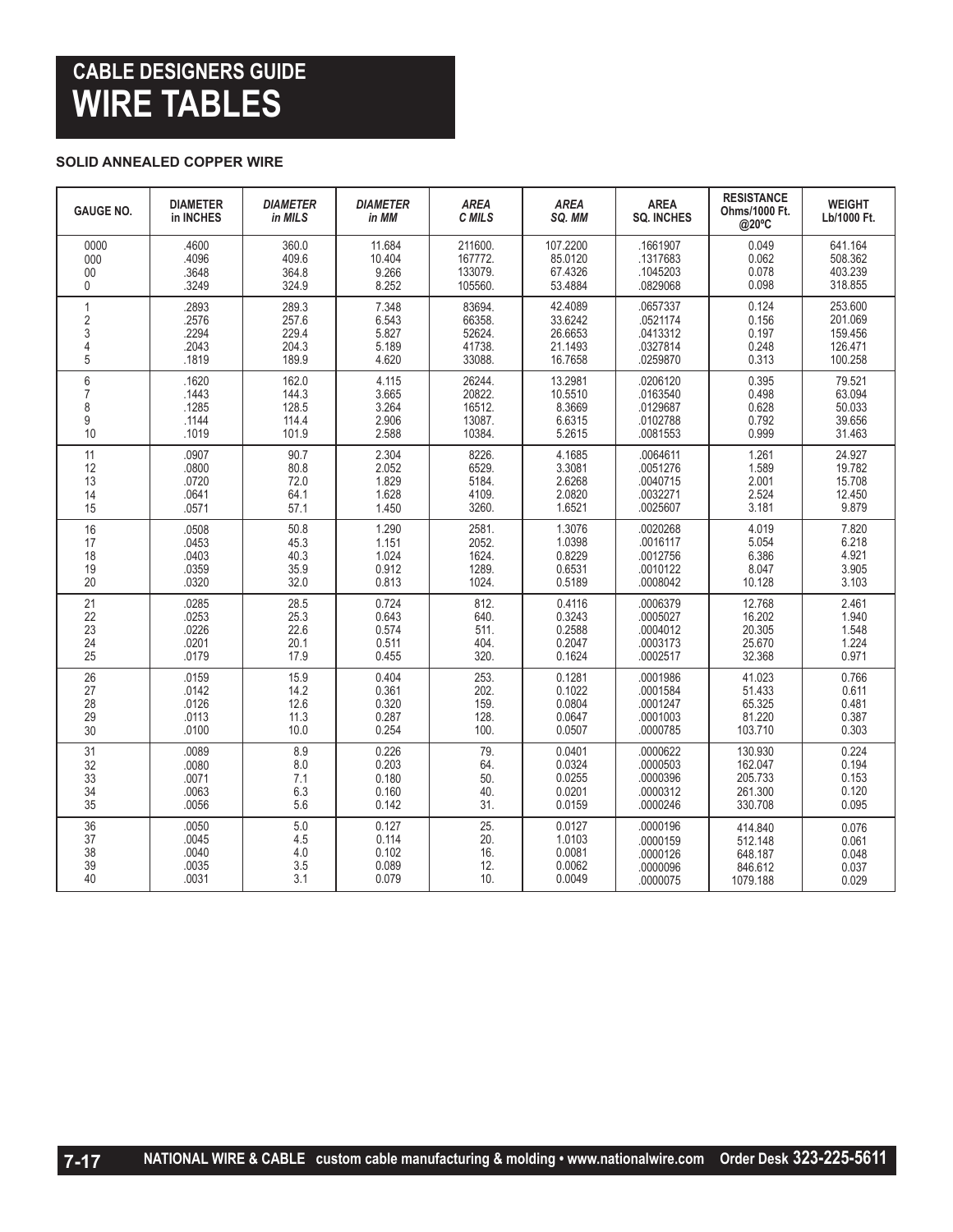## **CABLE DESIGNERS GUIDE WIRE TABLES**

#### **SOLID ANNEALED COPPER WIRE**

| <b>GAUGE NO.</b>           | <b>DIAMETER</b><br>in INCHES              | <b>DIAMETER</b><br>in MILS           | <b>DIAMETER</b><br>in MM                  | <b>AREA</b><br>C MILS                     | <b>AREA</b><br>SQ. MM                | <b>AREA</b><br><b>SQ. INCHES</b>                         | <b>RESISTANCE</b><br>Ohms/1000 Ft.<br>@20°C | <b>WEIGHT</b><br>Lb/1000 Ft.                  |
|----------------------------|-------------------------------------------|--------------------------------------|-------------------------------------------|-------------------------------------------|--------------------------------------|----------------------------------------------------------|---------------------------------------------|-----------------------------------------------|
| 0000                       | .4600                                     | 360.0                                | 11.684                                    | 211600.                                   | 107.2200                             | .1661907                                                 | 0.049                                       | 641.164                                       |
| 000                        | .4096                                     | 409.6                                | 10.404                                    | 167772.                                   | 85.0120                              | .1317683                                                 | 0.062                                       | 508.362                                       |
| 00                         | .3648                                     | 364.8                                | 9.266                                     | 133079.                                   | 67.4326                              | .1045203                                                 | 0.078                                       | 403.239                                       |
| 0                          | .3249                                     | 324.9                                | 8.252                                     | 105560                                    | 53.4884                              | .0829068                                                 | 0.098                                       | 318.855                                       |
| 1                          | .2893                                     | 289.3                                | 7.348                                     | 83694.                                    | 42.4089                              | .0657337                                                 | 0.124                                       | 253.600                                       |
| $\overline{\mathbf{c}}$    | .2576                                     | 257.6                                | 6.543                                     | 66358.                                    | 33.6242                              | .0521174                                                 | 0.156                                       | 201.069                                       |
| 3                          | 2294                                      | 229.4                                | 5.827                                     | 52624.                                    | 26.6653                              | .0413312                                                 | 0.197                                       | 159.456                                       |
| $\overline{4}$             | .2043                                     | 204.3                                | 5.189                                     | 41738.                                    | 21.1493                              | .0327814                                                 | 0.248                                       | 126.471                                       |
| 5                          | .1819                                     | 189.9                                | 4.620                                     | 33088                                     | 16.7658                              | .0259870                                                 | 0.313                                       | 100.258                                       |
| 6                          | .1620                                     | 162.0                                | 4.115                                     | 26244.                                    | 13.2981                              | .0206120                                                 | 0.395                                       | 79.521                                        |
| $\overline{7}$             | .1443                                     | 144.3                                | 3.665                                     | 20822.                                    | 10.5510                              | .0163540                                                 | 0.498                                       | 63.094                                        |
| 8                          | .1285                                     | 128.5                                | 3.264                                     | 16512.                                    | 8.3669                               | .0129687                                                 | 0.628                                       | 50.033                                        |
| 9                          | .1144                                     | 114.4                                | 2.906                                     | 13087.                                    | 6.6315                               | .0102788                                                 | 0.792                                       | 39.656                                        |
| 10                         | .1019                                     | 101.9                                | 2.588                                     | 10384.                                    | 5.2615                               | .0081553                                                 | 0.999                                       | 31.463                                        |
| 11<br>12<br>13<br>14<br>15 | .0907<br>.0800<br>.0720<br>.0641<br>.0571 | 90.7<br>80.8<br>72.0<br>64.1<br>57.1 | 2.304<br>2.052<br>1.829<br>1.628<br>1.450 | 8226.<br>6529.<br>5184.<br>4109.<br>3260. | 4.1685<br>3.3081<br>2.0820<br>1.6521 | .0064611<br>.0051276<br>.0040715<br>.0032271<br>.0025607 | 1.261<br>1.589<br>2.001<br>2.524<br>3.181   | 24.927<br>19.782<br>15.708<br>12.450<br>9.879 |
| 16                         | .0508                                     | 50.8                                 | 1.290                                     | 2581.                                     | 1.3076                               | .0020268                                                 | 4.019                                       | 7.820                                         |
| 17                         | .0453                                     | 45.3                                 | 1.151                                     | 2052.                                     | 1.0398                               | .0016117                                                 | 5.054                                       | 6.218                                         |
| 18                         | .0403                                     | 40.3                                 | 1.024                                     | 1624.                                     | 0.8229                               | .0012756                                                 | 6.386                                       | 4.921                                         |
| 19                         | .0359                                     | 35.9                                 | 0.912                                     | 1289.                                     | 0.6531                               | .0010122                                                 | 8.047                                       | 3.905                                         |
| 20                         | .0320                                     | 32.0                                 | 0.813                                     | 1024.                                     | 0.5189                               | .0008042                                                 | 10.128                                      | 3.103                                         |
| 21                         | .0285                                     | 28.5                                 | 0.724                                     | 812.                                      | 0.4116                               | .0006379                                                 | 12.768                                      | 2.461                                         |
| 22                         | .0253                                     | 25.3                                 | 0.643                                     | 640.                                      | 0.3243                               | .0005027                                                 | 16.202                                      | 1.940                                         |
| 23                         | .0226                                     | 22.6                                 | 0.574                                     | 511.                                      | 0.2588                               | .0004012                                                 | 20.305                                      | 1.548                                         |
| 24                         | .0201                                     | 20.1                                 | 0.511                                     | 404.                                      | 0.2047                               | .0003173                                                 | 25.670                                      | 1.224                                         |
| 25                         | .0179                                     | 17.9                                 | 0.455                                     | 320.                                      | 0.1624                               | .0002517                                                 | 32.368                                      | 0.971                                         |
| 26                         | .0159                                     | 15.9                                 | 0.404                                     | 253.                                      | 0.1281                               | .0001986                                                 | 41.023                                      | 0.766                                         |
| 27                         | .0142                                     | 14.2                                 | 0.361                                     | 202.                                      | 0.1022                               | .0001584                                                 | 51.433                                      | 0.611                                         |
| 28                         | .0126                                     | 12.6                                 | 0.320                                     | 159.                                      | 0.0804                               | .0001247                                                 | 65.325                                      | 0.481                                         |
| 29                         | .0113                                     | 11.3                                 | 0.287                                     | 128.                                      | 0.0647                               | .0001003                                                 | 81.220                                      | 0.387                                         |
| 30                         | .0100                                     | 10.0                                 | 0.254                                     | 100.                                      | 0.0507                               | .0000785                                                 | 103.710                                     | 0.303                                         |
| 31                         | .0089                                     | 8.9                                  | 0.226                                     | 79.                                       | 0.0401                               | .0000622                                                 | 130.930                                     | 0.224                                         |
| 32                         | .0080                                     | 8.0                                  | 0.203                                     | 64.                                       | 0.0324                               | .0000503                                                 | 162.047                                     | 0.194                                         |
| 33                         | .0071                                     | 7.1                                  | 0.180                                     | 50.                                       | 0.0255                               | .0000396                                                 | 205.733                                     | 0.153                                         |
| 34                         | .0063                                     | 6.3                                  | 0.160                                     | 40.                                       | 0.0201                               | .0000312                                                 | 261.300                                     | 0.120                                         |
| 35                         | .0056                                     | 5.6                                  | 0.142                                     | 31.                                       | 0.0159                               | .0000246                                                 | 330.708                                     | 0.095                                         |
| 36                         | .0050                                     | 5.0                                  | 0.127                                     | 25.                                       | 0.0127                               | .0000196                                                 | 414.840                                     | 0.076                                         |
| 37                         | .0045                                     | 4.5                                  | 0.114                                     | 20.                                       | 1.0103                               | .0000159                                                 | 512.148                                     | 0.061                                         |
| 38                         | .0040                                     | 4.0                                  | 0.102                                     | 16.                                       | 0.0081                               | .0000126                                                 | 648.187                                     | 0.048                                         |
| 39                         | .0035                                     | 3.5                                  | 0.089                                     | 12.                                       | 0.0062                               | .0000096                                                 | 846.612                                     | 0.037                                         |
| 40                         | .0031                                     | 3.1                                  | 0.079                                     | 10.                                       | 0.0049                               | .0000075                                                 | 1079.188                                    | 0.029                                         |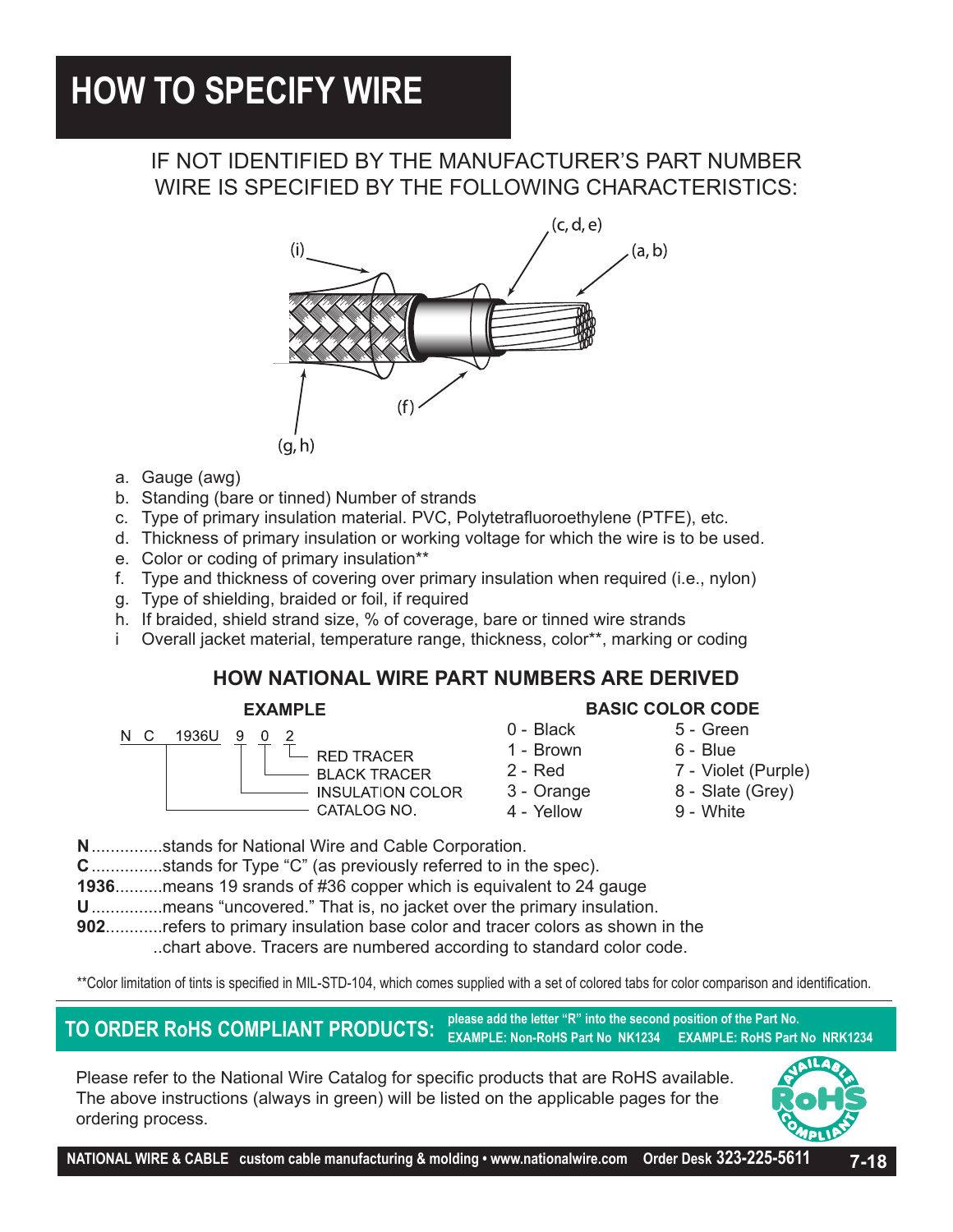# **HOW TO SPECIFY WIRE**

## IF NOT IDENTIFIED BY THE MANUFACTURER'S PART NUMBER WIRE IS SPECIFIED BY THE FOLLOWING CHARACTERISTICS:



- a. Gauge (awg)
- b. Standing (bare or tinned) Number of strands
- c. Type of primary insulation material. PVC, Polytetrafluoroethylene (PTFE), etc.
- d. Thickness of primary insulation or working voltage for which the wire is to be used.
- e. Color or coding of primary insulation\*\*
- f. Type and thickness of covering over primary insulation when required (i.e., nylon)
- g. Type of shielding, braided or foil, if required
- h. If braided, shield strand size, % of coverage, bare or tinned wire strands
- i Overall jacket material, temperature range, thickness, color\*\*, marking or coding

### **HOW NATIONAL WIRE PART NUMBERS ARE DERIVED**

### **EXAMPLE**



- **RED TRACER BLACK TRACER INSULATION COLOR**
- 0 Black 5 Green 1 - Brown 6 - Blue 3 - Orange 8 - Slate (Grey)
	-
- 2 Red 7 Violet (Purple)
	-
- 4 Yellow 9 White

**BASIC COLOR CODE**

- **N**...............stands for National Wire and Cable Corporation.
- **C**...............stands for Type "C" (as previously referred to in the spec).
- **1936**..........means 19 srands of #36 copper which is equivalent to 24 gauge
- **U**...............means "uncovered." That is, no jacket over the primary insulation.
- **902**............refers to primary insulation base color and tracer colors as shown in the ..chart above. Tracers are numbered according to standard color code.

\*\*Color limitation of tints is specified in MIL-STD-104, which comes supplied with a set of colored tabs for color comparison and identification.

**TO ORDER ROHS COMPLIANT PRODUCTS:** Please add the letter "R" into the second position of the Part No.<br>
EXAMPLE: Non-RoHS Part No NRK1234<br> **TO ORDER RoHS COMPLIANT PRODUCTS:** EXAMPLE: Non-RoHS Part No NK1234 EXAMPLE: RoHS **EXAMPLE: Non-RoHS Part No NK1234** 

Please refer to the National Wire Catalog for specific products that are RoHS available. The above instructions (always in green) will be listed on the applicable pages for the ordering process.